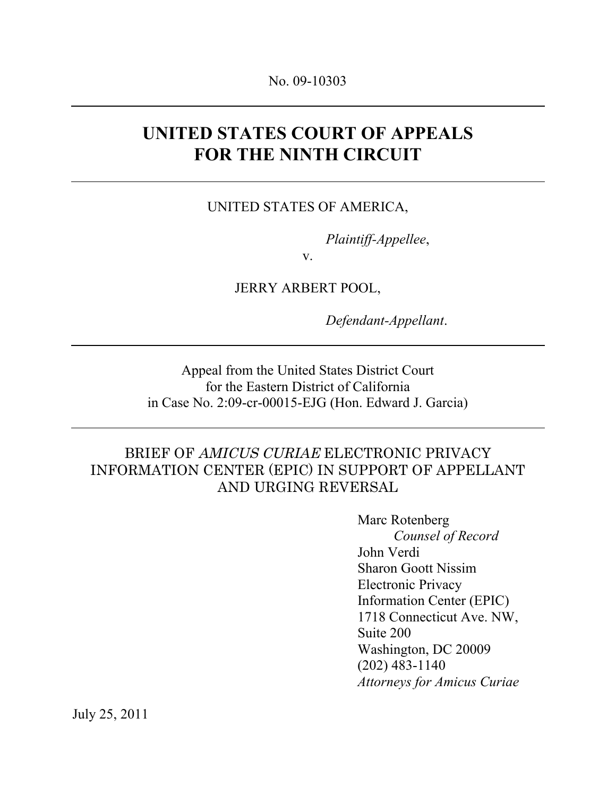# **UNITED STATES COURT OF APPEALS FOR THE NINTH CIRCUIT**

#### UNITED STATES OF AMERICA,

*Plaintiff-Appellee*,

v.

JERRY ARBERT POOL,

*Defendant-Appellant*.

Appeal from the United States District Court for the Eastern District of California in Case No. 2:09-cr-00015-EJG (Hon. Edward J. Garcia)

#### BRIEF OF AMICUS CURIAE ELECTRONIC PRIVACY INFORMATION CENTER (EPIC) IN SUPPORT OF APPELLANT AND URGING REVERSAL

Marc Rotenberg *Counsel of Record* John Verdi Sharon Goott Nissim Electronic Privacy Information Center (EPIC) 1718 Connecticut Ave. NW, Suite 200 Washington, DC 20009 (202) 483-1140 *Attorneys for Amicus Curiae*

July 25, 2011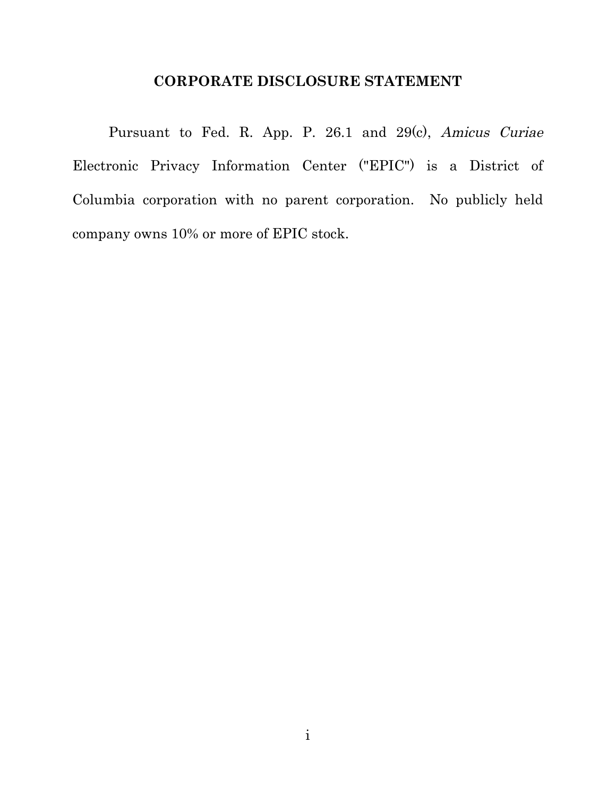#### **CORPORATE DISCLOSURE STATEMENT**

Pursuant to Fed. R. App. P. 26.1 and 29(c), Amicus Curiae Electronic Privacy Information Center ("EPIC") is a District of Columbia corporation with no parent corporation. No publicly held company owns 10% or more of EPIC stock.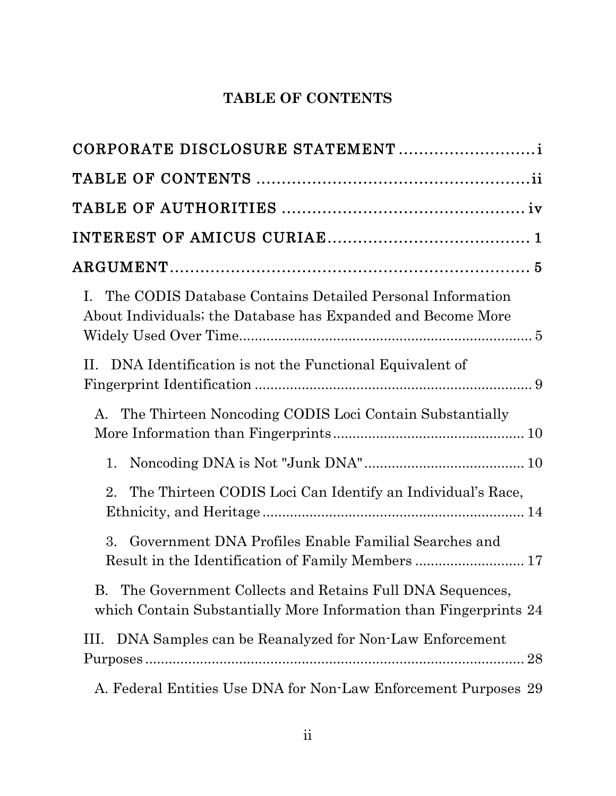## **TABLE OF CONTENTS**

| CORPORATE DISCLOSURE STATEMENT                                                                                                     |
|------------------------------------------------------------------------------------------------------------------------------------|
|                                                                                                                                    |
|                                                                                                                                    |
|                                                                                                                                    |
|                                                                                                                                    |
| I. The CODIS Database Contains Detailed Personal Information<br>About Individuals; the Database has Expanded and Become More       |
| II.<br>DNA Identification is not the Functional Equivalent of                                                                      |
| The Thirteen Noncoding CODIS Loci Contain Substantially<br>A.                                                                      |
| 1.                                                                                                                                 |
| The Thirteen CODIS Loci Can Identify an Individual's Race,<br>2.                                                                   |
| 3.<br>Government DNA Profiles Enable Familial Searches and<br>Result in the Identification of Family Members  17                   |
| The Government Collects and Retains Full DNA Sequences,<br>B.<br>which Contain Substantially More Information than Fingerprints 24 |
| DNA Samples can be Reanalyzed for Non-Law Enforcement<br>Ш.                                                                        |
| A. Federal Entities Use DNA for Non-Law Enforcement Purposes 29                                                                    |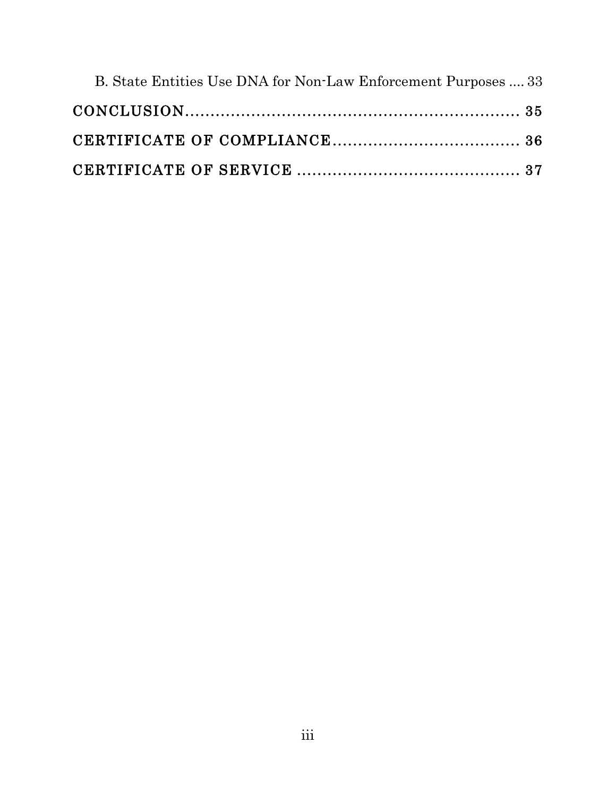| B. State Entities Use DNA for Non-Law Enforcement Purposes  33 |  |
|----------------------------------------------------------------|--|
|                                                                |  |
|                                                                |  |
|                                                                |  |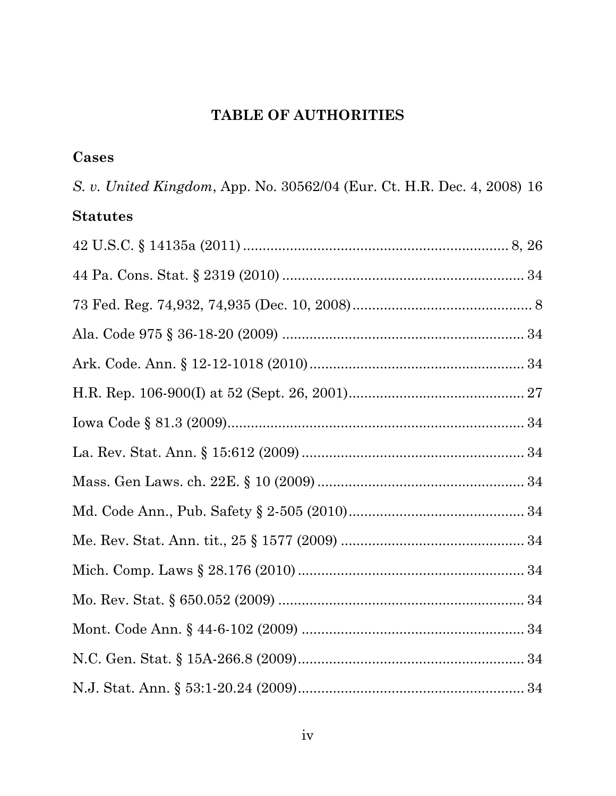## **TABLE OF AUTHORITIES**

### **Cases**

*S. v. United Kingdom*, App. No. 30562/04 (Eur. Ct. H.R. Dec. 4, 2008) 16 **Statutes**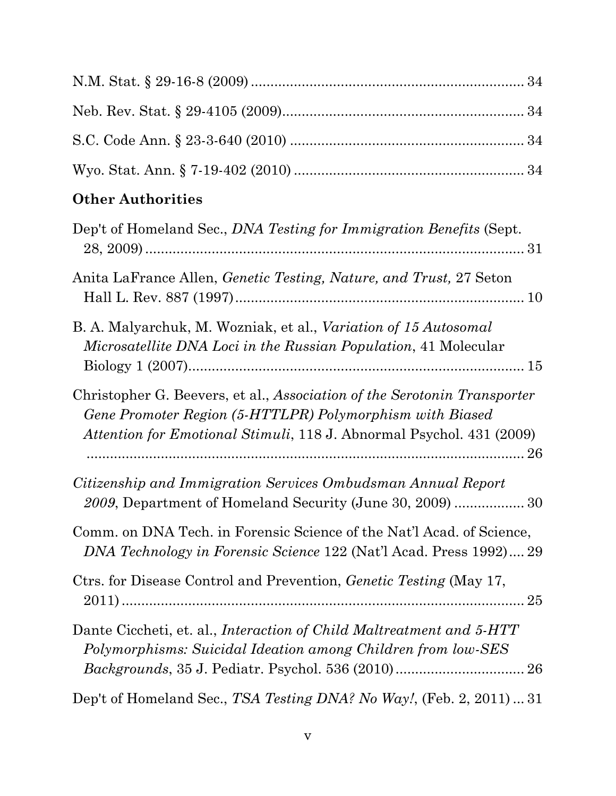## **Other Authorities**

| Dep't of Homeland Sec., <i>DNA Testing for Immigration Benefits</i> (Sept.                                                                                                                                          |
|---------------------------------------------------------------------------------------------------------------------------------------------------------------------------------------------------------------------|
| Anita LaFrance Allen, <i>Genetic Testing, Nature, and Trust</i> , 27 Seton                                                                                                                                          |
| B. A. Malyarchuk, M. Wozniak, et al., Variation of 15 Autosomal<br>Microsatellite DNA Loci in the Russian Population, 41 Molecular                                                                                  |
| Christopher G. Beevers, et al., Association of the Serotonin Transporter<br>Gene Promoter Region (5-HTTLPR) Polymorphism with Biased<br><i>Attention for Emotional Stimuli,</i> 118 J. Abnormal Psychol. 431 (2009) |
| Citizenship and Immigration Services Ombudsman Annual Report<br>2009, Department of Homeland Security (June 30, 2009)  30                                                                                           |
| Comm. on DNA Tech. in Forensic Science of the Nat'l Acad. of Science,<br>DNA Technology in Forensic Science 122 (Nat'l Acad. Press 1992) 29                                                                         |
| Ctrs. for Disease Control and Prevention, <i>Genetic Testing</i> (May 17,                                                                                                                                           |
| Dante Ciccheti, et. al., <i>Interaction of Child Maltreatment and 5-HTT</i><br>Polymorphisms: Suicidal Ideation among Children from low-SES                                                                         |
| Dep't of Homeland Sec., TSA Testing DNA? No Way!, (Feb. 2, 2011)31                                                                                                                                                  |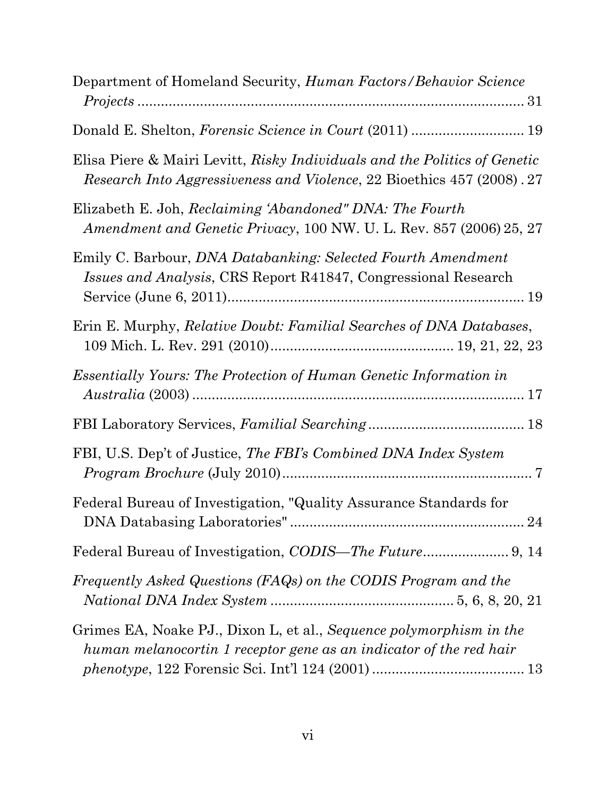| Department of Homeland Security, <i>Human Factors/Behavior Science</i>                                                                              |
|-----------------------------------------------------------------------------------------------------------------------------------------------------|
| Donald E. Shelton, Forensic Science in Court (2011)  19                                                                                             |
| Elisa Piere & Mairi Levitt, Risky Individuals and the Politics of Genetic<br>Research Into Aggressiveness and Violence, 22 Bioethics 457 (2008). 27 |
| Elizabeth E. Joh, Reclaiming 'Abandoned" DNA: The Fourth<br>Amendment and Genetic Privacy, 100 NW. U. L. Rev. 857 (2006) 25, 27                     |
| Emily C. Barbour, DNA Databanking: Selected Fourth Amendment<br><i>Issues and Analysis, CRS Report R41847, Congressional Research</i>               |
| Erin E. Murphy, <i>Relative Doubt: Familial Searches of DNA Databases</i> ,                                                                         |
| <i>Essentially Yours: The Protection of Human Genetic Information in</i>                                                                            |
|                                                                                                                                                     |
| FBI, U.S. Dep't of Justice, The FBI's Combined DNA Index System                                                                                     |
| Federal Bureau of Investigation, "Quality Assurance Standards for                                                                                   |
|                                                                                                                                                     |
| Frequently Asked Questions (FAQs) on the CODIS Program and the                                                                                      |
| Grimes EA, Noake PJ., Dixon L, et al., Sequence polymorphism in the<br>human melanocortin 1 receptor gene as an indicator of the red hair           |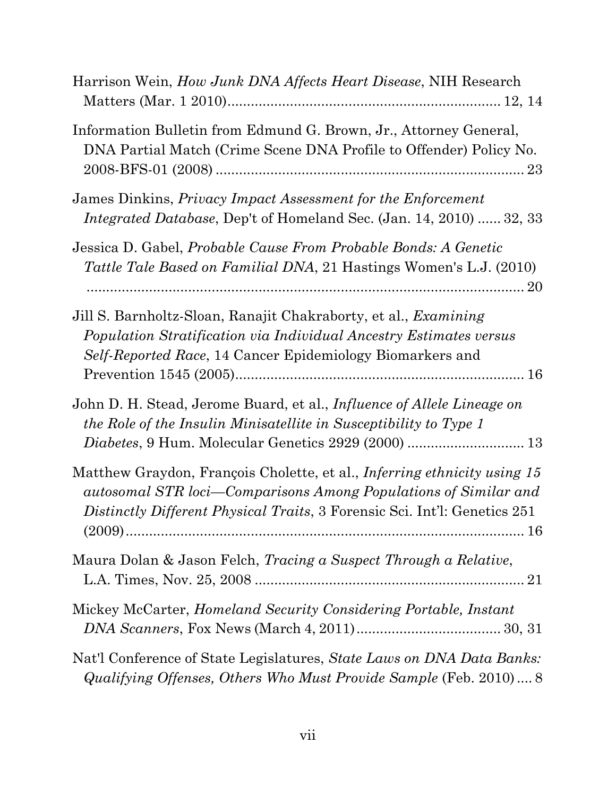| Harrison Wein, <i>How Junk DNA Affects Heart Disease</i> , NIH Research                                                                                                                                                         |
|---------------------------------------------------------------------------------------------------------------------------------------------------------------------------------------------------------------------------------|
| Information Bulletin from Edmund G. Brown, Jr., Attorney General,<br>DNA Partial Match (Crime Scene DNA Profile to Offender) Policy No.                                                                                         |
| James Dinkins, <i>Privacy Impact Assessment for the Enforcement</i><br><i>Integrated Database</i> , Dep't of Homeland Sec. (Jan. 14, 2010)  32, 33                                                                              |
| Jessica D. Gabel, Probable Cause From Probable Bonds: A Genetic<br><i>Tattle Tale Based on Familial DNA</i> , 21 Hastings Women's L.J. (2010)                                                                                   |
| Jill S. Barnholtz-Sloan, Ranajit Chakraborty, et al., <i>Examining</i><br>Population Stratification via Individual Ancestry Estimates versus<br><i>Self-Reported Race</i> , 14 Cancer Epidemiology Biomarkers and               |
| John D. H. Stead, Jerome Buard, et al., <i>Influence of Allele Lineage on</i><br>the Role of the Insulin Minisatellite in Susceptibility to Type 1                                                                              |
| Matthew Graydon, François Cholette, et al., <i>Inferring ethnicity using 15</i><br>autosomal STR loci-Comparisons Among Populations of Similar and<br>Distinctly Different Physical Traits, 3 Forensic Sci. Int'l: Genetics 251 |
| Maura Dolan & Jason Felch, <i>Tracing a Suspect Through a Relative</i> ,                                                                                                                                                        |
| Mickey McCarter, <i>Homeland Security Considering Portable, Instant</i>                                                                                                                                                         |
| Nat'l Conference of State Legislatures, State Laws on DNA Data Banks:<br>Qualifying Offenses, Others Who Must Provide Sample (Feb. 2010) 8                                                                                      |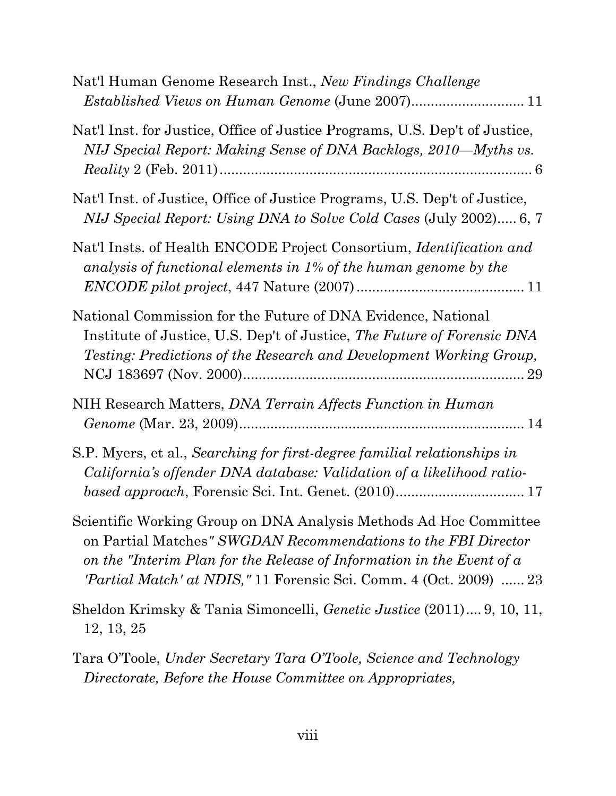| Nat'l Human Genome Research Inst., New Findings Challenge                                                                                                                                                                                                                                        |
|--------------------------------------------------------------------------------------------------------------------------------------------------------------------------------------------------------------------------------------------------------------------------------------------------|
| Nat'l Inst. for Justice, Office of Justice Programs, U.S. Dep't of Justice,<br>NIJ Special Report: Making Sense of DNA Backlogs, 2010—Myths vs.                                                                                                                                                  |
| Nat'l Inst. of Justice, Office of Justice Programs, U.S. Dep't of Justice,<br>NIJ Special Report: Using DNA to Solve Cold Cases (July 2002) 6, 7                                                                                                                                                 |
| Nat'l Insts. of Health ENCODE Project Consortium, Identification and<br>analysis of functional elements in 1% of the human genome by the                                                                                                                                                         |
| National Commission for the Future of DNA Evidence, National<br>Institute of Justice, U.S. Dep't of Justice, The Future of Forensic DNA<br>Testing: Predictions of the Research and Development Working Group,                                                                                   |
| NIH Research Matters, DNA Terrain Affects Function in Human                                                                                                                                                                                                                                      |
| S.P. Myers, et al., Searching for first-degree familial relationships in<br>California's offender DNA database: Validation of a likelihood ratio-<br>based approach, Forensic Sci. Int. Genet. (2010) 17                                                                                         |
| Scientific Working Group on DNA Analysis Methods Ad Hoc Committee<br>on Partial Matches" SWGDAN Recommendations to the FBI Director<br>on the "Interim Plan for the Release of Information in the Event of $\alpha$<br><i>'Partial Match' at NDIS,"</i> 11 Forensic Sci. Comm. 4 (Oct. 2009)  23 |
| Sheldon Krimsky & Tania Simoncelli, <i>Genetic Justice</i> (2011) 9, 10, 11,<br>12, 13, 25                                                                                                                                                                                                       |
| Tara O'Toole, Under Secretary Tara O'Toole, Science and Technology<br>Directorate, Before the House Committee on Appropriates,                                                                                                                                                                   |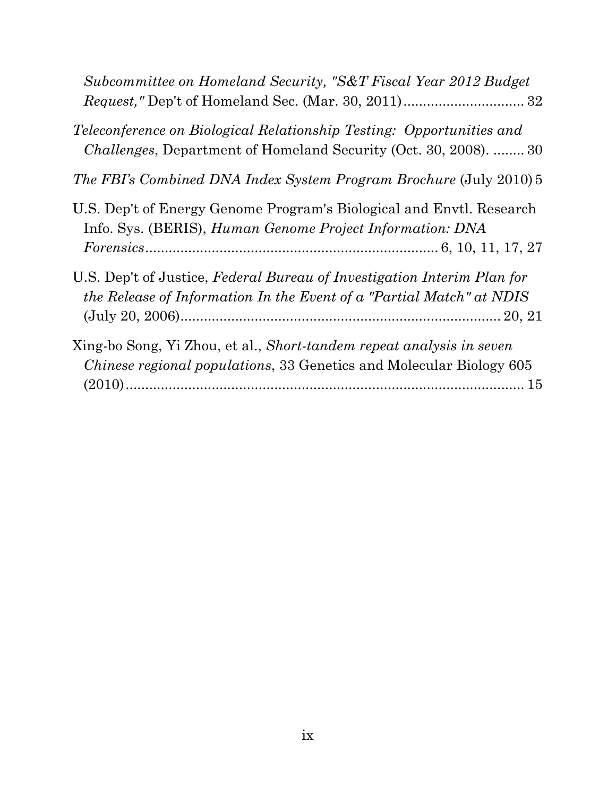| Subcommittee on Homeland Security, "S&T Fiscal Year 2012 Budget                                                                                         |
|---------------------------------------------------------------------------------------------------------------------------------------------------------|
| <i>Teleconference on Biological Relationship Testing: Opportunities and</i><br><i>Challenges</i> , Department of Homeland Security (Oct. 30, 2008).  30 |
| <i>The FBI's Combined DNA Index System Program Brochure (July 2010)</i> 5                                                                               |
| U.S. Dep't of Energy Genome Program's Biological and Envtl. Research<br>Info. Sys. (BERIS), <i>Human Genome Project Information: DNA</i>                |
| U.S. Dep't of Justice, Federal Bureau of Investigation Interim Plan for<br>the Release of Information In the Event of a "Partial Match" at NDIS         |
| Xing-bo Song, Yi Zhou, et al., Short-tandem repeat analysis in seven<br><i>Chinese regional populations, 33 Genetics and Molecular Biology 605</i>      |
|                                                                                                                                                         |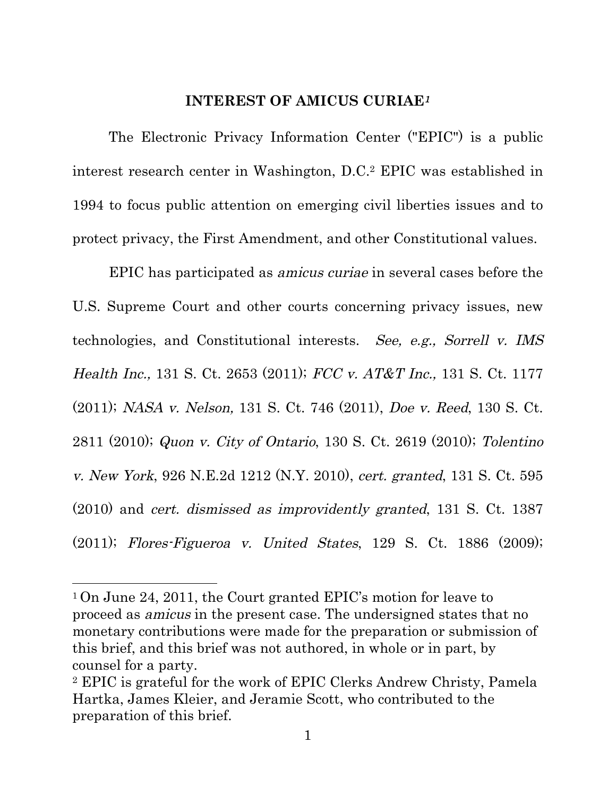#### **INTEREST OF AMICUS CURIAE**<sup>1</sup>

The Electronic Privacy Information Center ("EPIC") is a public interest research center in Washington, D.C.2 EPIC was established in 1994 to focus public attention on emerging civil liberties issues and to protect privacy, the First Amendment, and other Constitutional values.

EPIC has participated as amicus curiae in several cases before the U.S. Supreme Court and other courts concerning privacy issues, new technologies, and Constitutional interests. See, e.g., Sorrell v. IMS Health Inc., 131 S. Ct. 2653 (2011); FCC v. AT&T Inc., 131 S. Ct. 1177 (2011); NASA v. Nelson, 131 S. Ct. 746 (2011), Doe v. Reed, 130 S. Ct. 2811 (2010); Quon v. City of Ontario, 130 S. Ct. 2619 (2010); Tolentino v. New York, 926 N.E.2d 1212 (N.Y. 2010), cert. granted, 131 S. Ct. 595 (2010) and cert. dismissed as improvidently granted, 131 S. Ct. 1387 (2011); Flores-Figueroa v. United States, 129 S. Ct. 1886 (2009);

<sup>1</sup> On June 24, 2011, the Court granted EPIC's motion for leave to proceed as amicus in the present case. The undersigned states that no monetary contributions were made for the preparation or submission of this brief, and this brief was not authored, in whole or in part, by counsel for a party.

<sup>2</sup> EPIC is grateful for the work of EPIC Clerks Andrew Christy, Pamela Hartka, James Kleier, and Jeramie Scott, who contributed to the preparation of this brief.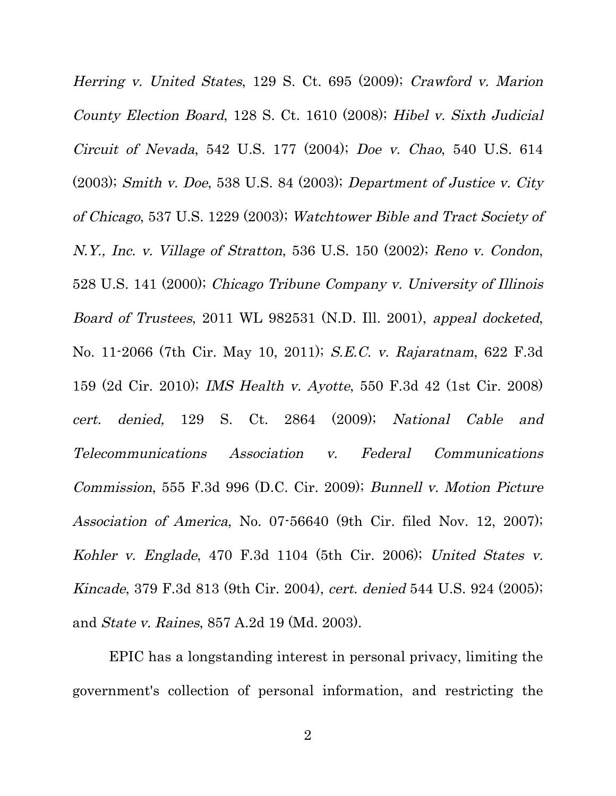Herring v. United States, 129 S. Ct. 695 (2009); Crawford v. Marion County Election Board, 128 S. Ct. 1610 (2008); Hibel v. Sixth Judicial Circuit of Nevada, 542 U.S. 177 (2004); Doe v. Chao, 540 U.S. 614 (2003); Smith v. Doe, 538 U.S. 84 (2003); Department of Justice v. City of Chicago, 537 U.S. 1229 (2003); Watchtower Bible and Tract Society of N.Y., Inc. v. Village of Stratton, 536 U.S. 150 (2002); Reno v. Condon, 528 U.S. 141 (2000); Chicago Tribune Company v. University of Illinois Board of Trustees, 2011 WL 982531 (N.D. Ill. 2001), appeal docketed, No. 11-2066 (7th Cir. May 10, 2011); S.E.C. v. Rajaratnam, 622 F.3d 159 (2d Cir. 2010); IMS Health v. Ayotte, 550 F.3d 42 (1st Cir. 2008) cert. denied, 129 S. Ct. 2864 (2009); National Cable and Telecommunications Association v. Federal Communications Commission, 555 F.3d 996 (D.C. Cir. 2009); Bunnell v. Motion Picture Association of America, No. 07-56640 (9th Cir. filed Nov. 12, 2007); Kohler v. Englade, 470 F.3d 1104 (5th Cir. 2006); United States v. Kincade, 379 F.3d 813 (9th Cir. 2004), cert. denied 544 U.S. 924 (2005); and State v. Raines, 857 A.2d 19 (Md. 2003).

EPIC has a longstanding interest in personal privacy, limiting the government's collection of personal information, and restricting the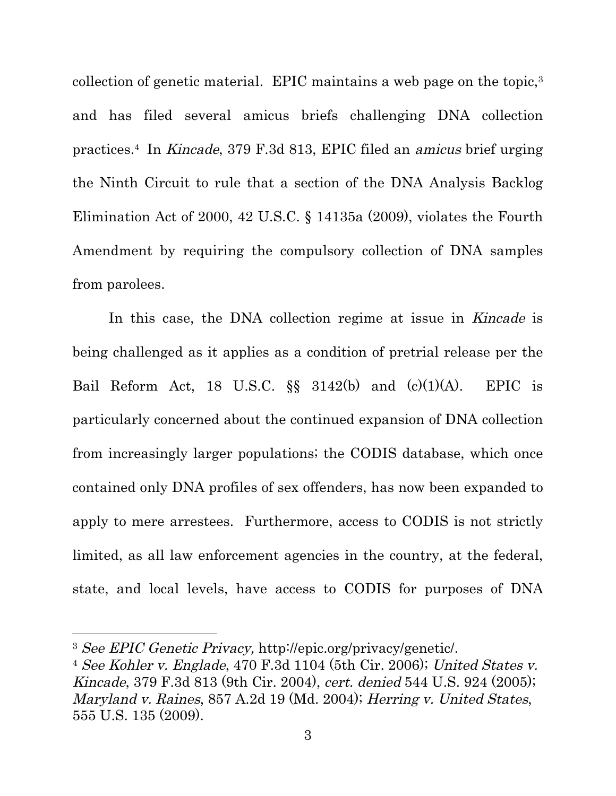collection of genetic material. EPIC maintains a web page on the topic,3 and has filed several amicus briefs challenging DNA collection practices.4 In Kincade, 379 F.3d 813, EPIC filed an amicus brief urging the Ninth Circuit to rule that a section of the DNA Analysis Backlog Elimination Act of 2000, 42 U.S.C. § 14135a (2009), violates the Fourth Amendment by requiring the compulsory collection of DNA samples from parolees.

In this case, the DNA collection regime at issue in Kincade is being challenged as it applies as a condition of pretrial release per the Bail Reform Act, 18 U.S.C.  $\S$  3142(b) and (c)(1)(A). EPIC is particularly concerned about the continued expansion of DNA collection from increasingly larger populations; the CODIS database, which once contained only DNA profiles of sex offenders, has now been expanded to apply to mere arrestees. Furthermore, access to CODIS is not strictly limited, as all law enforcement agencies in the country, at the federal, state, and local levels, have access to CODIS for purposes of DNA

<u> 1989 - Johann Stein, fransk politiker (d. 1989)</u>

<sup>3</sup> See EPIC Genetic Privacy, http://epic.org/privacy/genetic/.

<sup>4</sup> See Kohler v. Englade, 470 F.3d 1104 (5th Cir. 2006); United States v. Kincade, 379 F.3d 813 (9th Cir. 2004), cert. denied 544 U.S. 924 (2005); Maryland v. Raines, 857 A.2d 19 (Md. 2004); Herring v. United States, 555 U.S. 135 (2009).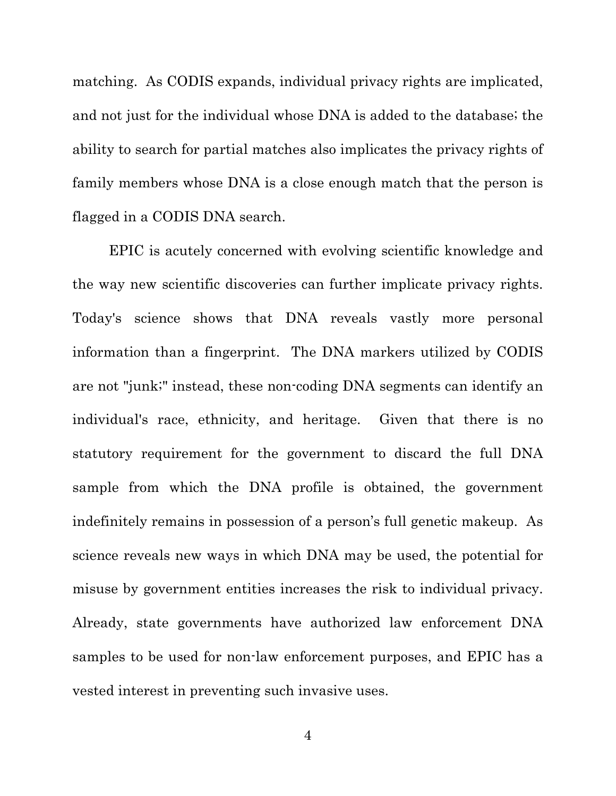matching. As CODIS expands, individual privacy rights are implicated, and not just for the individual whose DNA is added to the database; the ability to search for partial matches also implicates the privacy rights of family members whose DNA is a close enough match that the person is flagged in a CODIS DNA search.

EPIC is acutely concerned with evolving scientific knowledge and the way new scientific discoveries can further implicate privacy rights. Today's science shows that DNA reveals vastly more personal information than a fingerprint. The DNA markers utilized by CODIS are not "junk;" instead, these non-coding DNA segments can identify an individual's race, ethnicity, and heritage. Given that there is no statutory requirement for the government to discard the full DNA sample from which the DNA profile is obtained, the government indefinitely remains in possession of a person's full genetic makeup. As science reveals new ways in which DNA may be used, the potential for misuse by government entities increases the risk to individual privacy. Already, state governments have authorized law enforcement DNA samples to be used for non-law enforcement purposes, and EPIC has a vested interest in preventing such invasive uses.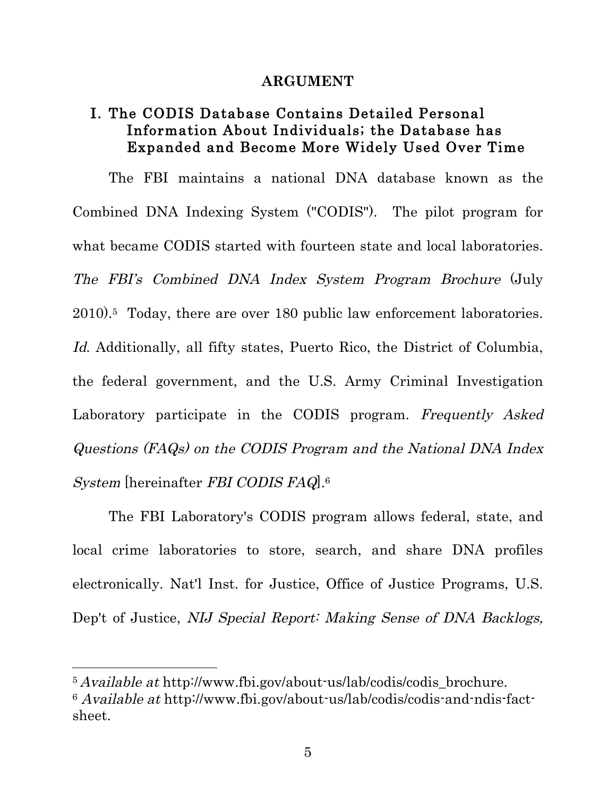#### **ARGUMENT**

### I. The CODIS Database Contains Detailed Personal Information About Individuals; the Database has Expanded and Become More Widely Used Over Time

The FBI maintains a national DNA database known as the Combined DNA Indexing System ("CODIS"). The pilot program for what became CODIS started with fourteen state and local laboratories. The FBI's Combined DNA Index System Program Brochure (July 2010).5 Today, there are over 180 public law enforcement laboratories. Id. Additionally, all fifty states, Puerto Rico, the District of Columbia, the federal government, and the U.S. Army Criminal Investigation Laboratory participate in the CODIS program. Frequently Asked Questions (FAQs) on the CODIS Program and the National DNA Index System [hereinafter FBI CODIS FAQ].6

The FBI Laboratory's CODIS program allows federal, state, and local crime laboratories to store, search, and share DNA profiles electronically. Nat'l Inst. for Justice, Office of Justice Programs, U.S. Dep't of Justice, NIJ Special Report: Making Sense of DNA Backlogs,

 $5$  Available at http://www.fbi.gov/about-us/lab/codis/codis brochure. <sup>6</sup> Available at http://www.fbi.gov/about-us/lab/codis/codis-and-ndis-factsheet.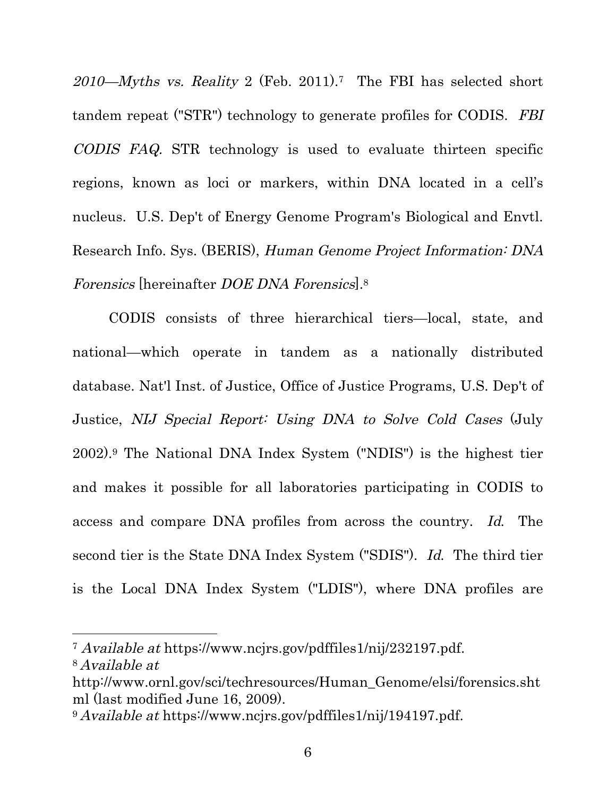$2010$ —Myths vs. Reality 2 (Feb. 2011).<sup>7</sup> The FBI has selected short tandem repeat ("STR") technology to generate profiles for CODIS. FBI CODIS FAQ. STR technology is used to evaluate thirteen specific regions, known as loci or markers, within DNA located in a cell's nucleus. U.S. Dep't of Energy Genome Program's Biological and Envtl. Research Info. Sys. (BERIS), Human Genome Project Information: DNA Forensics [hereinafter DOE DNA Forensics].8

CODIS consists of three hierarchical tiers—local, state, and national—which operate in tandem as a nationally distributed database. Nat'l Inst. of Justice, Office of Justice Programs, U.S. Dep't of Justice, NIJ Special Report: Using DNA to Solve Cold Cases (July 2002).9 The National DNA Index System ("NDIS") is the highest tier and makes it possible for all laboratories participating in CODIS to access and compare DNA profiles from across the country. Id. The second tier is the State DNA Index System ("SDIS"). Id. The third tier is the Local DNA Index System ("LDIS"), where DNA profiles are

<sup>7</sup> Available at https://www.ncjrs.gov/pdffiles1/nij/232197.pdf. 8 Available at

<u> 1989 - Johann Stein, fransk politiker (d. 1989)</u>

http://www.ornl.gov/sci/techresources/Human\_Genome/elsi/forensics.sht ml (last modified June 16, 2009).

<sup>9</sup> Available at https://www.ncjrs.gov/pdffiles1/nij/194197.pdf.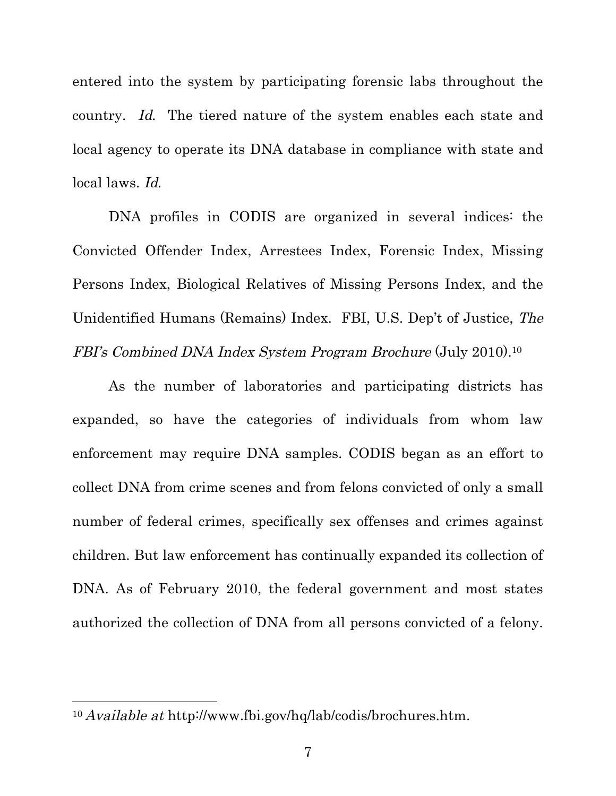entered into the system by participating forensic labs throughout the country. Id. The tiered nature of the system enables each state and local agency to operate its DNA database in compliance with state and local laws. Id.

DNA profiles in CODIS are organized in several indices: the Convicted Offender Index, Arrestees Index, Forensic Index, Missing Persons Index, Biological Relatives of Missing Persons Index, and the Unidentified Humans (Remains) Index. FBI, U.S. Dep't of Justice, The FBI's Combined DNA Index System Program Brochure (July 2010).10

As the number of laboratories and participating districts has expanded, so have the categories of individuals from whom law enforcement may require DNA samples. CODIS began as an effort to collect DNA from crime scenes and from felons convicted of only a small number of federal crimes, specifically sex offenses and crimes against children. But law enforcement has continually expanded its collection of DNA. As of February 2010, the federal government and most states authorized the collection of DNA from all persons convicted of a felony.

<sup>10</sup> Available at http://www.fbi.gov/hq/lab/codis/brochures.htm.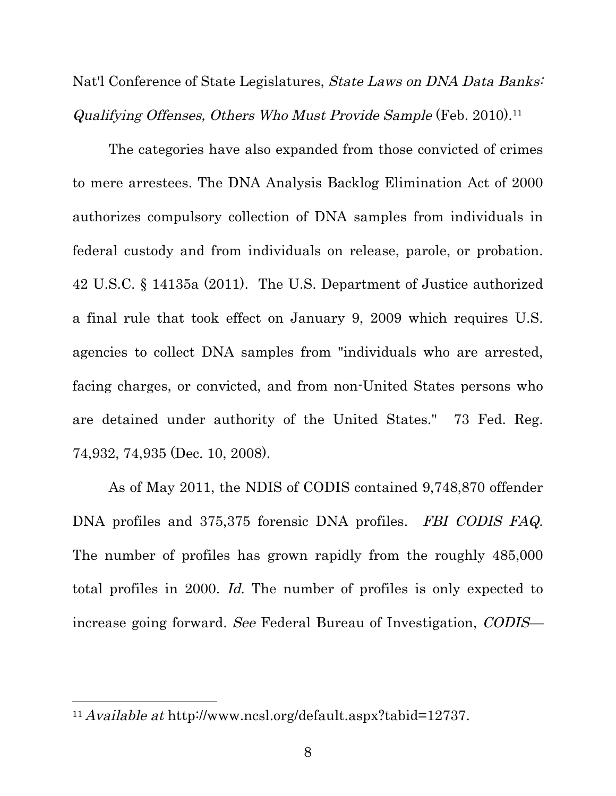Nat'l Conference of State Legislatures, *State Laws on DNA Data Banks*: Qualifying Offenses, Others Who Must Provide Sample (Feb. 2010).11

The categories have also expanded from those convicted of crimes to mere arrestees. The DNA Analysis Backlog Elimination Act of 2000 authorizes compulsory collection of DNA samples from individuals in federal custody and from individuals on release, parole, or probation. 42 U.S.C. § 14135a (2011). The U.S. Department of Justice authorized a final rule that took effect on January 9, 2009 which requires U.S. agencies to collect DNA samples from "individuals who are arrested, facing charges, or convicted, and from non-United States persons who are detained under authority of the United States." 73 Fed. Reg. 74,932, 74,935 (Dec. 10, 2008).

As of May 2011, the NDIS of CODIS contained 9,748,870 offender DNA profiles and 375,375 forensic DNA profiles. FBI CODIS FAQ. The number of profiles has grown rapidly from the roughly 485,000 total profiles in 2000. Id. The number of profiles is only expected to increase going forward. See Federal Bureau of Investigation, CODIS—

<sup>11</sup> Available at http://www.ncsl.org/default.aspx?tabid=12737.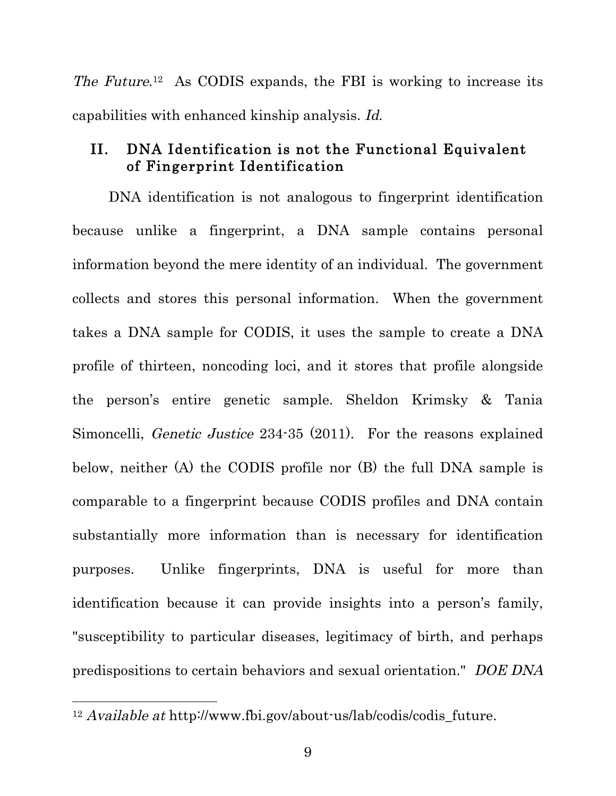The Future.<sup>12</sup> As CODIS expands, the FBI is working to increase its capabilities with enhanced kinship analysis. Id.

### II. DNA Identification is not the Functional Equivalent of Fingerprint Identification

DNA identification is not analogous to fingerprint identification because unlike a fingerprint, a DNA sample contains personal information beyond the mere identity of an individual. The government collects and stores this personal information. When the government takes a DNA sample for CODIS, it uses the sample to create a DNA profile of thirteen, noncoding loci, and it stores that profile alongside the person's entire genetic sample. Sheldon Krimsky & Tania Simoncelli, Genetic Justice 234-35 (2011). For the reasons explained below, neither (A) the CODIS profile nor (B) the full DNA sample is comparable to a fingerprint because CODIS profiles and DNA contain substantially more information than is necessary for identification purposes. Unlike fingerprints, DNA is useful for more than identification because it can provide insights into a person's family, "susceptibility to particular diseases, legitimacy of birth, and perhaps predispositions to certain behaviors and sexual orientation." DOE DNA

 $12$  Available at http://www.fbi.gov/about-us/lab/codis/codis future.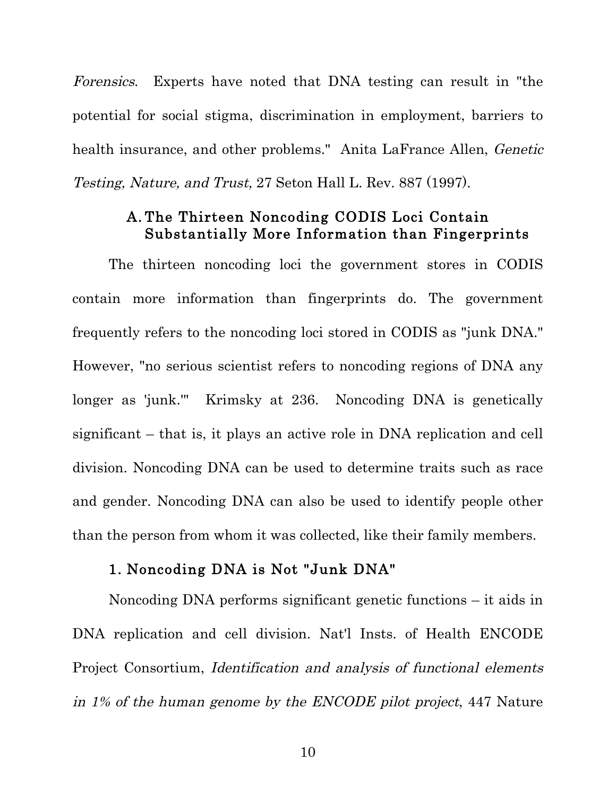Forensics. Experts have noted that DNA testing can result in "the potential for social stigma, discrimination in employment, barriers to health insurance, and other problems." Anita LaFrance Allen, Genetic Testing, Nature, and Trust, 27 Seton Hall L. Rev. 887 (1997).

#### A. The Thirteen Noncoding CODIS Loci Contain Substantially More Information than Fingerprints

The thirteen noncoding loci the government stores in CODIS contain more information than fingerprints do. The government frequently refers to the noncoding loci stored in CODIS as "junk DNA." However, "no serious scientist refers to noncoding regions of DNA any longer as 'junk.'" Krimsky at 236. Noncoding DNA is genetically significant – that is, it plays an active role in DNA replication and cell division. Noncoding DNA can be used to determine traits such as race and gender. Noncoding DNA can also be used to identify people other than the person from whom it was collected, like their family members.

#### 1. Noncoding DNA is Not "Junk DNA"

Noncoding DNA performs significant genetic functions – it aids in DNA replication and cell division. Nat'l Insts. of Health ENCODE Project Consortium, Identification and analysis of functional elements in 1% of the human genome by the ENCODE pilot project, 447 Nature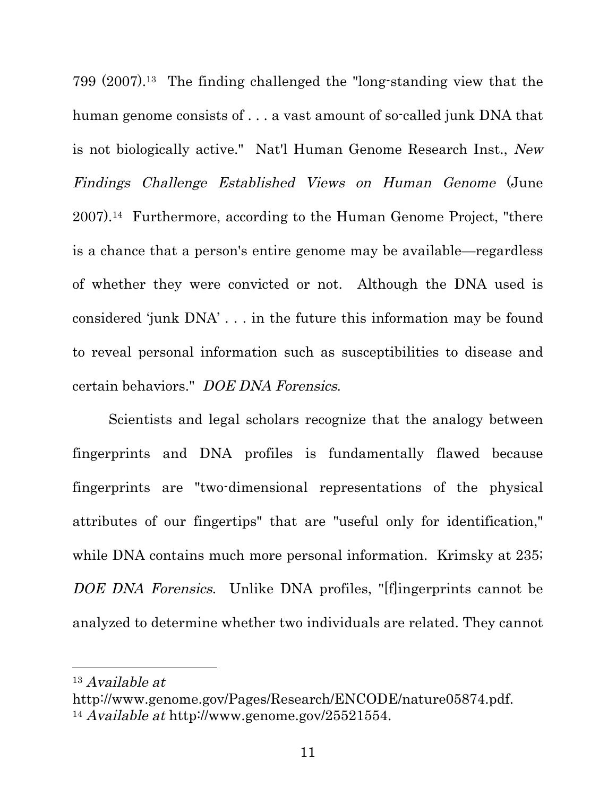799 (2007).13 The finding challenged the "long-standing view that the human genome consists of . . . a vast amount of so-called junk DNA that is not biologically active." Nat'l Human Genome Research Inst., New Findings Challenge Established Views on Human Genome (June 2007).14 Furthermore, according to the Human Genome Project, "there is a chance that a person's entire genome may be available—regardless of whether they were convicted or not. Although the DNA used is considered 'junk DNA' . . . in the future this information may be found to reveal personal information such as susceptibilities to disease and certain behaviors." DOE DNA Forensics.

Scientists and legal scholars recognize that the analogy between fingerprints and DNA profiles is fundamentally flawed because fingerprints are "two-dimensional representations of the physical attributes of our fingertips" that are "useful only for identification," while DNA contains much more personal information. Krimsky at 235; DOE DNA Forensics. Unlike DNA profiles, "[f]ingerprints cannot be analyzed to determine whether two individuals are related. They cannot

<sup>13</sup> Available at

http://www.genome.gov/Pages/Research/ENCODE/nature05874.pdf. <sup>14</sup> Available at http://www.genome.gov/25521554.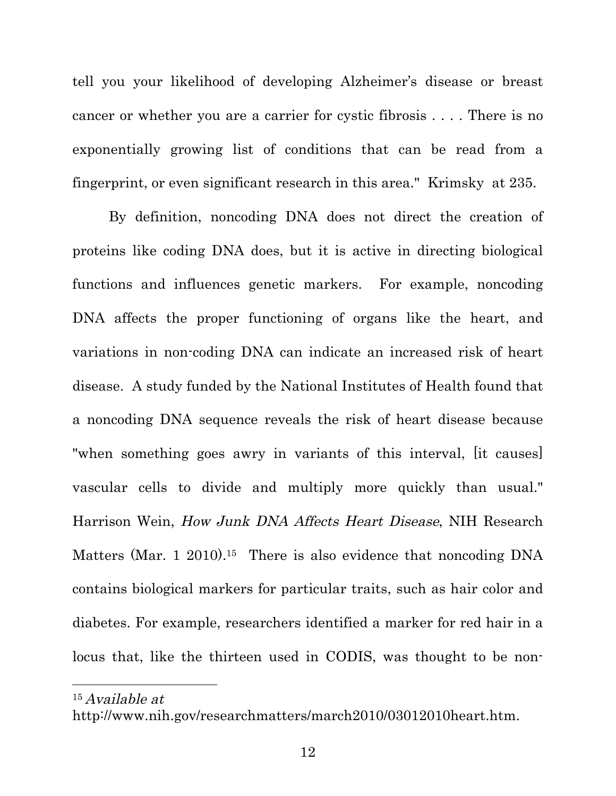tell you your likelihood of developing Alzheimer's disease or breast cancer or whether you are a carrier for cystic fibrosis . . . . There is no exponentially growing list of conditions that can be read from a fingerprint, or even significant research in this area." Krimsky at 235.

By definition, noncoding DNA does not direct the creation of proteins like coding DNA does, but it is active in directing biological functions and influences genetic markers. For example, noncoding DNA affects the proper functioning of organs like the heart, and variations in non-coding DNA can indicate an increased risk of heart disease. A study funded by the National Institutes of Health found that a noncoding DNA sequence reveals the risk of heart disease because "when something goes awry in variants of this interval, [it causes] vascular cells to divide and multiply more quickly than usual." Harrison Wein, How Junk DNA Affects Heart Disease, NIH Research Matters (Mar. 1 2010).<sup>15</sup> There is also evidence that noncoding DNA contains biological markers for particular traits, such as hair color and diabetes. For example, researchers identified a marker for red hair in a locus that, like the thirteen used in CODIS, was thought to be non-

15 Available at

http://www.nih.gov/researchmatters/march2010/03012010heart.htm.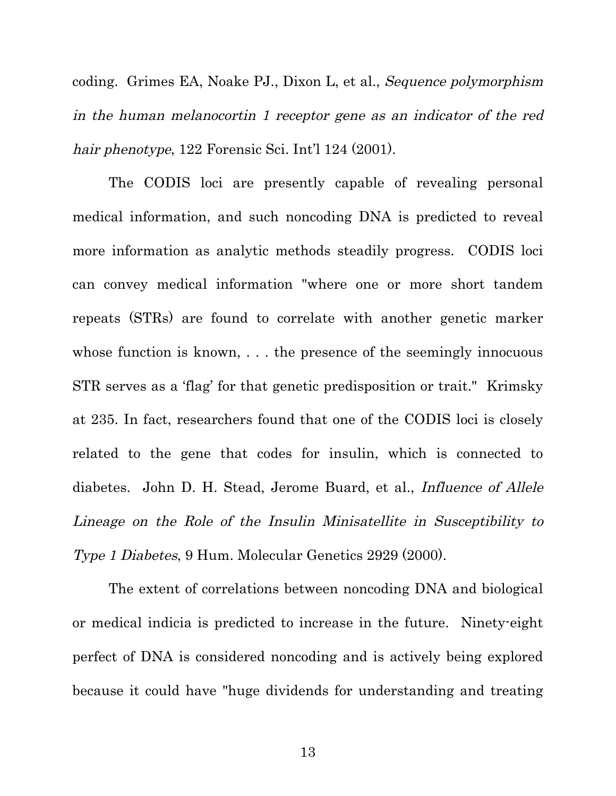coding. Grimes EA, Noake PJ., Dixon L, et al., Sequence polymorphism in the human melanocortin 1 receptor gene as an indicator of the red hair phenotype, 122 Forensic Sci. Int'l 124 (2001).

The CODIS loci are presently capable of revealing personal medical information, and such noncoding DNA is predicted to reveal more information as analytic methods steadily progress. CODIS loci can convey medical information "where one or more short tandem repeats (STRs) are found to correlate with another genetic marker whose function is known, ... the presence of the seemingly innocuous STR serves as a 'flag' for that genetic predisposition or trait." Krimsky at 235. In fact, researchers found that one of the CODIS loci is closely related to the gene that codes for insulin, which is connected to diabetes. John D. H. Stead, Jerome Buard, et al., *Influence of Allele* Lineage on the Role of the Insulin Minisatellite in Susceptibility to Type 1 Diabetes, 9 Hum. Molecular Genetics 2929 (2000).

The extent of correlations between noncoding DNA and biological or medical indicia is predicted to increase in the future. Ninety-eight perfect of DNA is considered noncoding and is actively being explored because it could have "huge dividends for understanding and treating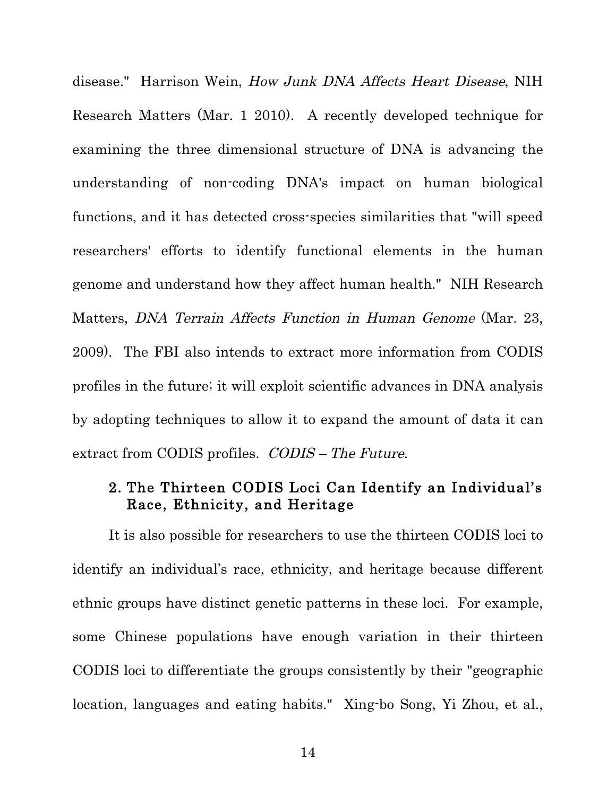disease." Harrison Wein, How Junk DNA Affects Heart Disease, NIH Research Matters (Mar. 1 2010). A recently developed technique for examining the three dimensional structure of DNA is advancing the understanding of non-coding DNA's impact on human biological functions, and it has detected cross-species similarities that "will speed researchers' efforts to identify functional elements in the human genome and understand how they affect human health." NIH Research Matters, DNA Terrain Affects Function in Human Genome (Mar. 23, 2009). The FBI also intends to extract more information from CODIS profiles in the future; it will exploit scientific advances in DNA analysis by adopting techniques to allow it to expand the amount of data it can extract from CODIS profiles. CODIS – The Future.

#### 2. The Thirteen CODIS Loci Can Identify an Individual's Race, Ethnicity, and Heritage

It is also possible for researchers to use the thirteen CODIS loci to identify an individual's race, ethnicity, and heritage because different ethnic groups have distinct genetic patterns in these loci. For example, some Chinese populations have enough variation in their thirteen CODIS loci to differentiate the groups consistently by their "geographic location, languages and eating habits." Xing-bo Song, Yi Zhou, et al.,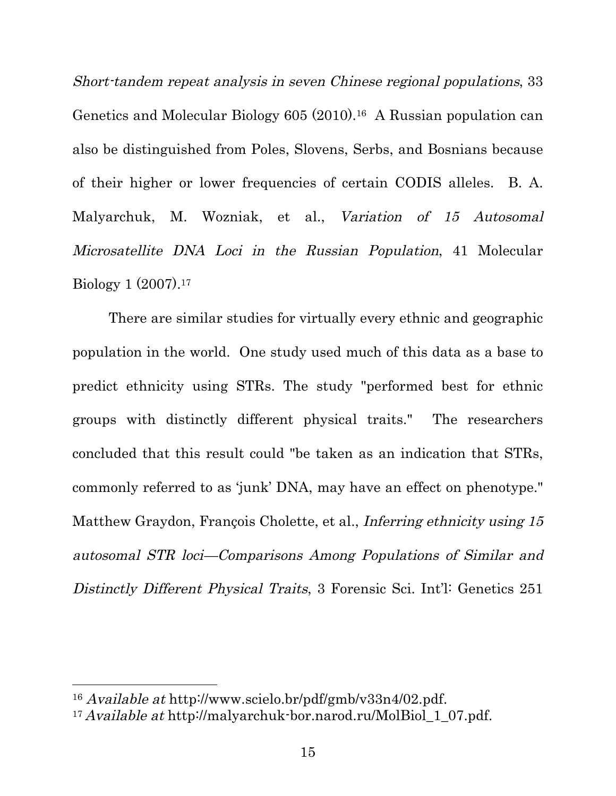Short-tandem repeat analysis in seven Chinese regional populations, 33 Genetics and Molecular Biology 605 (2010).16 A Russian population can also be distinguished from Poles, Slovens, Serbs, and Bosnians because of their higher or lower frequencies of certain CODIS alleles. B. A. Malyarchuk, M. Wozniak, et al., Variation of 15 Autosomal Microsatellite DNA Loci in the Russian Population, 41 Molecular Biology 1 (2007).17

There are similar studies for virtually every ethnic and geographic population in the world. One study used much of this data as a base to predict ethnicity using STRs. The study "performed best for ethnic groups with distinctly different physical traits." The researchers concluded that this result could "be taken as an indication that STRs, commonly referred to as 'junk' DNA, may have an effect on phenotype." Matthew Graydon, François Cholette, et al., *Inferring ethnicity using 15* autosomal STR loci—Comparisons Among Populations of Similar and Distinctly Different Physical Traits, 3 Forensic Sci. Int'l: Genetics 251

<sup>16</sup> Available at http://www.scielo.br/pdf/gmb/v33n4/02.pdf.

<sup>17</sup> Available at http://malyarchuk-bor.narod.ru/MolBiol\_1\_07.pdf.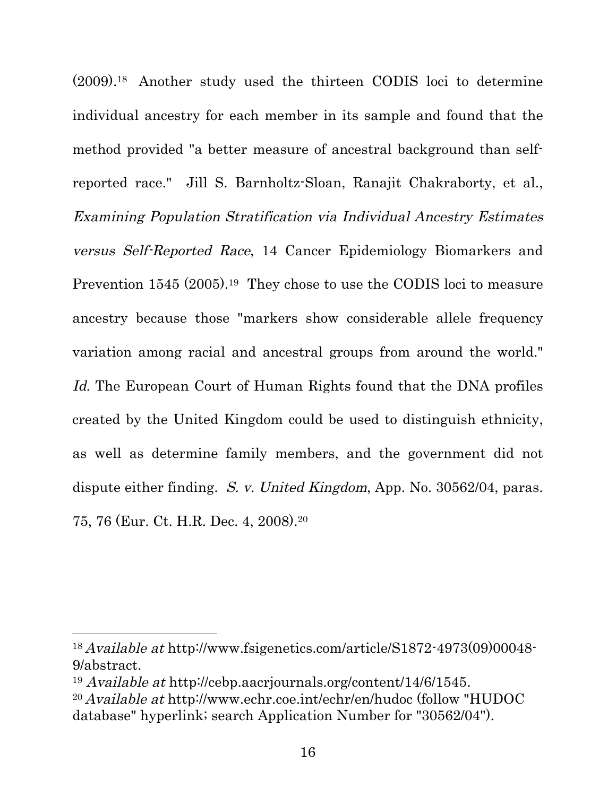(2009).18 Another study used the thirteen CODIS loci to determine individual ancestry for each member in its sample and found that the method provided "a better measure of ancestral background than selfreported race." Jill S. Barnholtz-Sloan, Ranajit Chakraborty, et al., Examining Population Stratification via Individual Ancestry Estimates versus Self-Reported Race, 14 Cancer Epidemiology Biomarkers and Prevention 1545 (2005).<sup>19</sup> They chose to use the CODIS loci to measure ancestry because those "markers show considerable allele frequency variation among racial and ancestral groups from around the world." Id. The European Court of Human Rights found that the DNA profiles created by the United Kingdom could be used to distinguish ethnicity, as well as determine family members, and the government did not dispute either finding. S. v. United Kingdom, App. No. 30562/04, paras. 75, 76 (Eur. Ct. H.R. Dec. 4, 2008).20

<u> 1989 - Johann Stein, fransk politiker (d. 1989)</u>

<sup>18</sup> Available at http://www.fsigenetics.com/article/S1872-4973(09)00048- 9/abstract.

<sup>19</sup> Available at http://cebp.aacrjournals.org/content/14/6/1545.

<sup>20</sup> Available at http://www.echr.coe.int/echr/en/hudoc (follow "HUDOC database" hyperlink; search Application Number for "30562/04").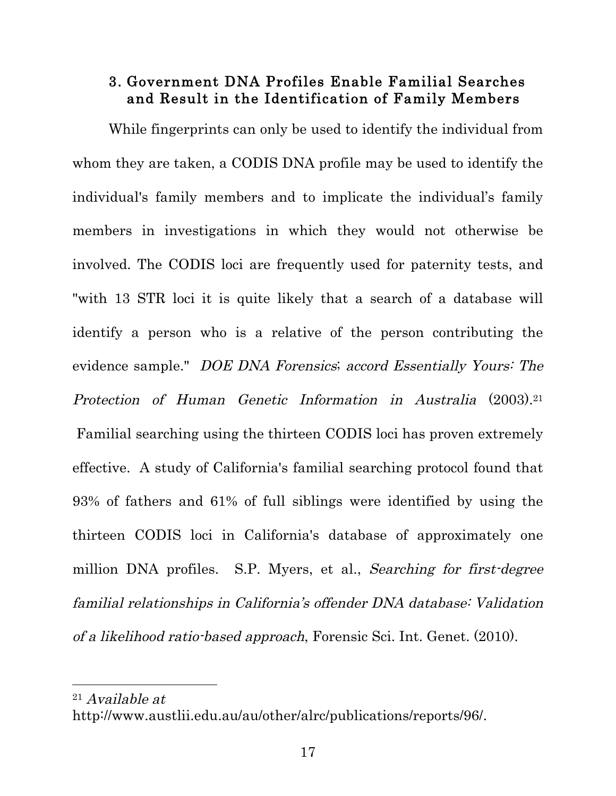#### 3. Government DNA Profiles Enable Familial Searches and Result in the Identification of Family Members

While fingerprints can only be used to identify the individual from whom they are taken, a CODIS DNA profile may be used to identify the individual's family members and to implicate the individual's family members in investigations in which they would not otherwise be involved. The CODIS loci are frequently used for paternity tests, and "with 13 STR loci it is quite likely that a search of a database will identify a person who is a relative of the person contributing the evidence sample." DOE DNA Forensics; accord Essentially Yours: The Protection of Human Genetic Information in Australia (2003).21 Familial searching using the thirteen CODIS loci has proven extremely effective. A study of California's familial searching protocol found that 93% of fathers and 61% of full siblings were identified by using the thirteen CODIS loci in California's database of approximately one million DNA profiles. S.P. Myers, et al., Searching for first-degree familial relationships in California's offender DNA database: Validation of a likelihood ratio-based approach, Forensic Sci. Int. Genet. (2010).

21 Available at

http://www.austlii.edu.au/au/other/alrc/publications/reports/96/.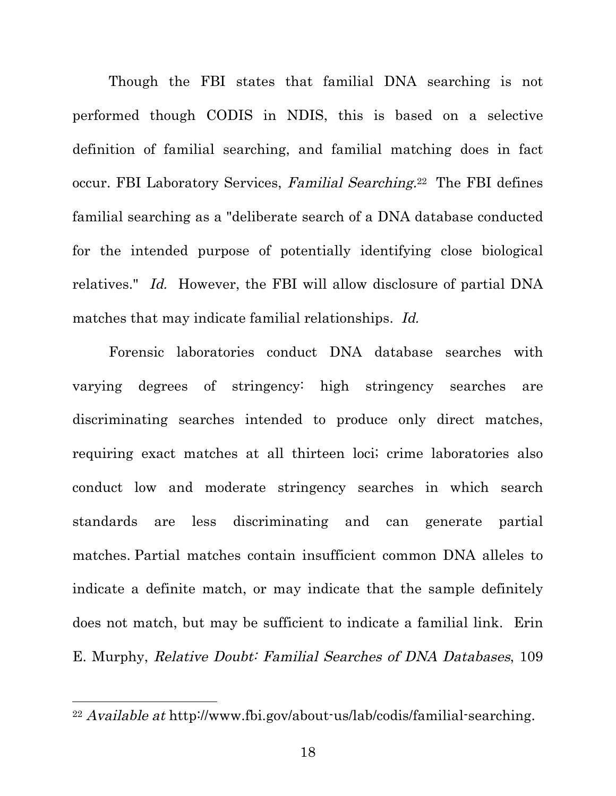Though the FBI states that familial DNA searching is not performed though CODIS in NDIS, this is based on a selective definition of familial searching, and familial matching does in fact occur. FBI Laboratory Services, Familial Searching.<sup>22</sup> The FBI defines familial searching as a "deliberate search of a DNA database conducted for the intended purpose of potentially identifying close biological relatives." Id. However, the FBI will allow disclosure of partial DNA matches that may indicate familial relationships. Id.

Forensic laboratories conduct DNA database searches with varying degrees of stringency: high stringency searches are discriminating searches intended to produce only direct matches, requiring exact matches at all thirteen loci; crime laboratories also conduct low and moderate stringency searches in which search standards are less discriminating and can generate partial matches. Partial matches contain insufficient common DNA alleles to indicate a definite match, or may indicate that the sample definitely does not match, but may be sufficient to indicate a familial link. Erin E. Murphy, Relative Doubt: Familial Searches of DNA Databases, 109

<sup>22</sup> Available at http://www.fbi.gov/about-us/lab/codis/familial-searching.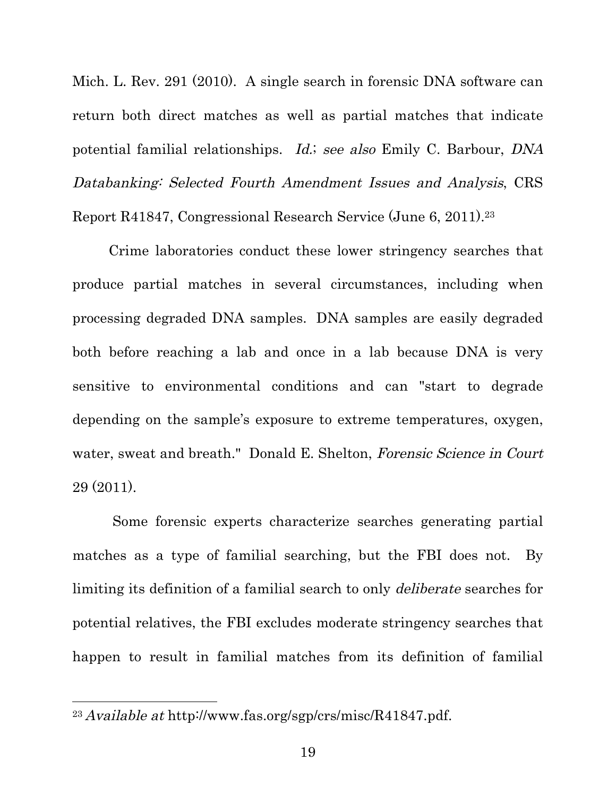Mich. L. Rev. 291 (2010). A single search in forensic DNA software can return both direct matches as well as partial matches that indicate potential familial relationships. Id.; see also Emily C. Barbour, DNA Databanking: Selected Fourth Amendment Issues and Analysis, CRS Report R41847, Congressional Research Service (June 6, 2011).23

Crime laboratories conduct these lower stringency searches that produce partial matches in several circumstances, including when processing degraded DNA samples. DNA samples are easily degraded both before reaching a lab and once in a lab because DNA is very sensitive to environmental conditions and can "start to degrade depending on the sample's exposure to extreme temperatures, oxygen, water, sweat and breath." Donald E. Shelton, Forensic Science in Court 29 (2011).

 Some forensic experts characterize searches generating partial matches as a type of familial searching, but the FBI does not. By limiting its definition of a familial search to only deliberate searches for potential relatives, the FBI excludes moderate stringency searches that happen to result in familial matches from its definition of familial

<sup>23</sup> Available at http://www.fas.org/sgp/crs/misc/R41847.pdf.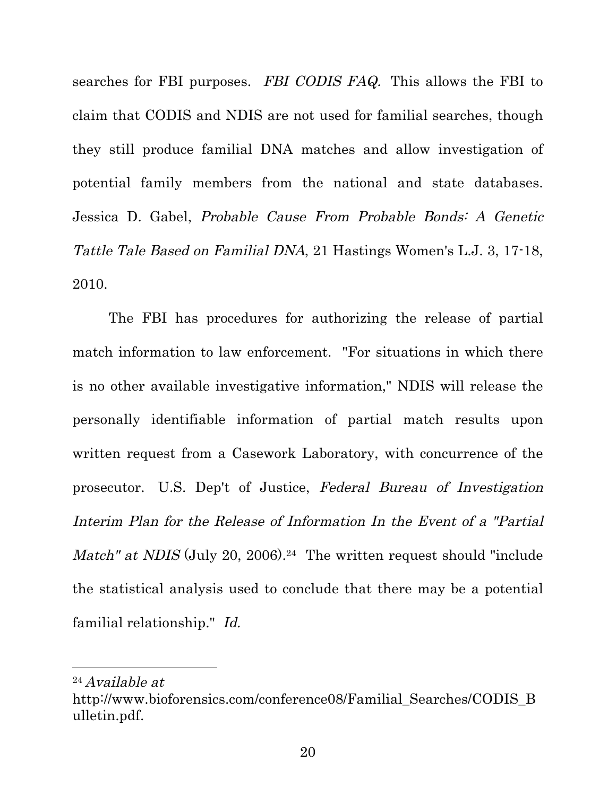searches for FBI purposes. FBI CODIS FAQ. This allows the FBI to claim that CODIS and NDIS are not used for familial searches, though they still produce familial DNA matches and allow investigation of potential family members from the national and state databases. Jessica D. Gabel, Probable Cause From Probable Bonds: A Genetic Tattle Tale Based on Familial DNA, 21 Hastings Women's L.J. 3, 17-18, 2010.

The FBI has procedures for authorizing the release of partial match information to law enforcement. "For situations in which there is no other available investigative information," NDIS will release the personally identifiable information of partial match results upon written request from a Casework Laboratory, with concurrence of the prosecutor. U.S. Dep't of Justice, Federal Bureau of Investigation Interim Plan for the Release of Information In the Event of a "Partial Match" at NDIS (July 20, 2006).<sup>24</sup> The written request should "include the statistical analysis used to conclude that there may be a potential familial relationship." Id.

<sup>24</sup> Available at

http://www.bioforensics.com/conference08/Familial\_Searches/CODIS\_B ulletin.pdf.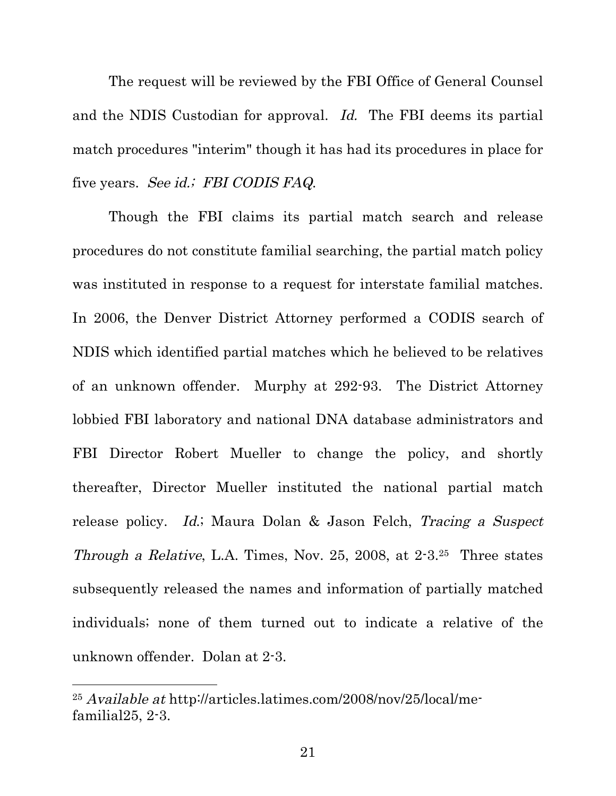The request will be reviewed by the FBI Office of General Counsel and the NDIS Custodian for approval. Id. The FBI deems its partial match procedures "interim" though it has had its procedures in place for five years. See id.; FBI CODIS FAQ.

Though the FBI claims its partial match search and release procedures do not constitute familial searching, the partial match policy was instituted in response to a request for interstate familial matches. In 2006, the Denver District Attorney performed a CODIS search of NDIS which identified partial matches which he believed to be relatives of an unknown offender. Murphy at 292-93. The District Attorney lobbied FBI laboratory and national DNA database administrators and FBI Director Robert Mueller to change the policy, and shortly thereafter, Director Mueller instituted the national partial match release policy. Id.; Maura Dolan & Jason Felch, Tracing a Suspect Through a Relative, L.A. Times, Nov. 25, 2008, at 2-3.25 Three states subsequently released the names and information of partially matched individuals; none of them turned out to indicate a relative of the unknown offender. Dolan at 2-3.

<sup>25</sup> Available at http://articles.latimes.com/2008/nov/25/local/mefamilial25, 2-3.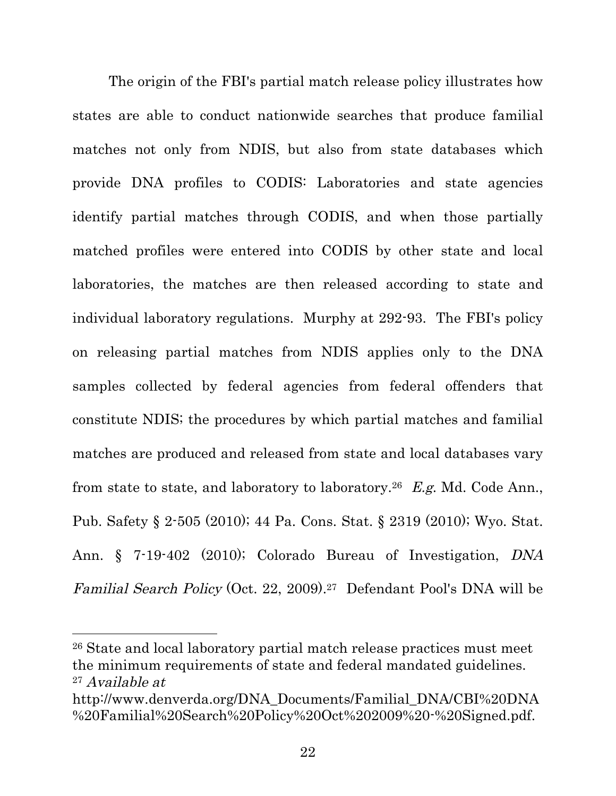The origin of the FBI's partial match release policy illustrates how states are able to conduct nationwide searches that produce familial matches not only from NDIS, but also from state databases which provide DNA profiles to CODIS: Laboratories and state agencies identify partial matches through CODIS, and when those partially matched profiles were entered into CODIS by other state and local laboratories, the matches are then released according to state and individual laboratory regulations. Murphy at 292-93. The FBI's policy on releasing partial matches from NDIS applies only to the DNA samples collected by federal agencies from federal offenders that constitute NDIS; the procedures by which partial matches and familial matches are produced and released from state and local databases vary from state to state, and laboratory to laboratory.26 E.g. Md. Code Ann., Pub. Safety § 2-505 (2010); 44 Pa. Cons. Stat. § 2319 (2010); Wyo. Stat. Ann. § 7-19-402 (2010); Colorado Bureau of Investigation, DNA Familial Search Policy (Oct. 22, 2009).27 Defendant Pool's DNA will be

26 State and local laboratory partial match release practices must meet the minimum requirements of state and federal mandated guidelines. 27 Available at

<u> 1989 - Johann Stein, fransk politiker (d. 1989)</u>

http://www.denverda.org/DNA\_Documents/Familial\_DNA/CBI%20DNA %20Familial%20Search%20Policy%20Oct%202009%20-%20Signed.pdf.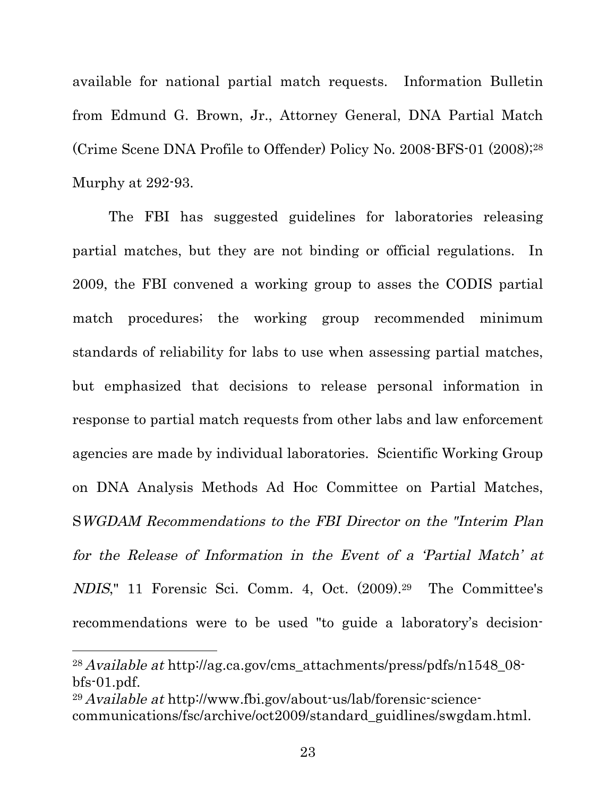available for national partial match requests. Information Bulletin from Edmund G. Brown, Jr., Attorney General, DNA Partial Match (Crime Scene DNA Profile to Offender) Policy No. 2008-BFS-01 (2008);28 Murphy at 292-93.

The FBI has suggested guidelines for laboratories releasing partial matches, but they are not binding or official regulations. In 2009, the FBI convened a working group to asses the CODIS partial match procedures; the working group recommended minimum standards of reliability for labs to use when assessing partial matches, but emphasized that decisions to release personal information in response to partial match requests from other labs and law enforcement agencies are made by individual laboratories. Scientific Working Group on DNA Analysis Methods Ad Hoc Committee on Partial Matches, SWGDAM Recommendations to the FBI Director on the "Interim Plan for the Release of Information in the Event of a 'Partial Match' at NDIS," 11 Forensic Sci. Comm. 4, Oct. (2009).29 The Committee's recommendations were to be used "to guide a laboratory's decision-

<u> 1989 - Johann Stein, fransk politiker (d. 1989)</u>

<sup>28</sup> Available at http://ag.ca.gov/cms\_attachments/press/pdfs/n1548\_08 bfs-01.pdf.

<sup>29</sup> Available at http://www.fbi.gov/about-us/lab/forensic-sciencecommunications/fsc/archive/oct2009/standard\_guidlines/swgdam.html.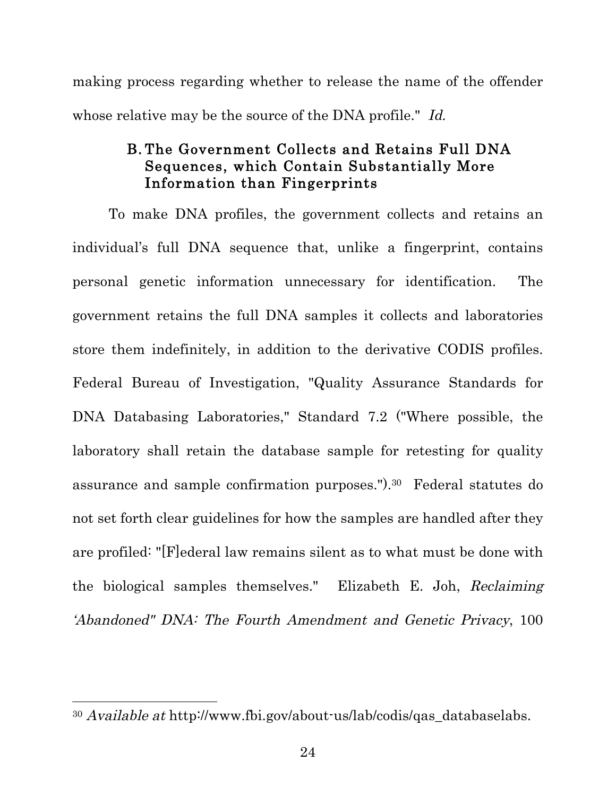making process regarding whether to release the name of the offender whose relative may be the source of the DNA profile." Id.

## B. The Government Collects and Retains Full DNA Sequences, which Contain Substantially More Information than Fingerprints

To make DNA profiles, the government collects and retains an individual's full DNA sequence that, unlike a fingerprint, contains personal genetic information unnecessary for identification. The government retains the full DNA samples it collects and laboratories store them indefinitely, in addition to the derivative CODIS profiles. Federal Bureau of Investigation, "Quality Assurance Standards for DNA Databasing Laboratories," Standard 7.2 ("Where possible, the laboratory shall retain the database sample for retesting for quality assurance and sample confirmation purposes.").30 Federal statutes do not set forth clear guidelines for how the samples are handled after they are profiled: "[F]ederal law remains silent as to what must be done with the biological samples themselves." Elizabeth E. Joh, Reclaiming 'Abandoned" DNA: The Fourth Amendment and Genetic Privacy, 100

<sup>30</sup> Available at http://www.fbi.gov/about-us/lab/codis/qas\_databaselabs.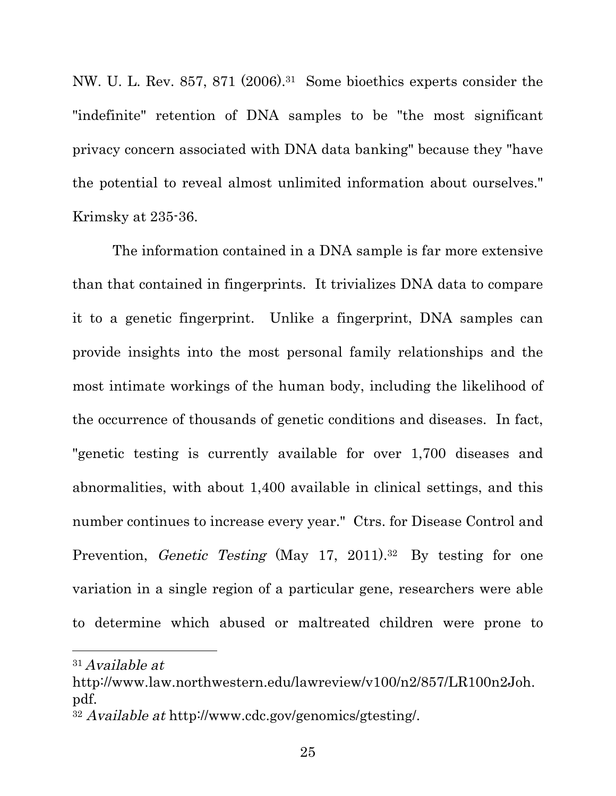NW. U. L. Rev. 857, 871 (2006).31 Some bioethics experts consider the "indefinite" retention of DNA samples to be "the most significant privacy concern associated with DNA data banking" because they "have the potential to reveal almost unlimited information about ourselves." Krimsky at 235-36.

 The information contained in a DNA sample is far more extensive than that contained in fingerprints. It trivializes DNA data to compare it to a genetic fingerprint. Unlike a fingerprint, DNA samples can provide insights into the most personal family relationships and the most intimate workings of the human body, including the likelihood of the occurrence of thousands of genetic conditions and diseases. In fact, "genetic testing is currently available for over 1,700 diseases and abnormalities, with about 1,400 available in clinical settings, and this number continues to increase every year." Ctrs. for Disease Control and Prevention, *Genetic Testing* (May 17, 2011).<sup>32</sup> By testing for one variation in a single region of a particular gene, researchers were able to determine which abused or maltreated children were prone to

<u> 1989 - Johann Stein, fransk politiker (d. 1989)</u>

<sup>31</sup> Available at

http://www.law.northwestern.edu/lawreview/v100/n2/857/LR100n2Joh. pdf.

<sup>32</sup> Available at http://www.cdc.gov/genomics/gtesting/.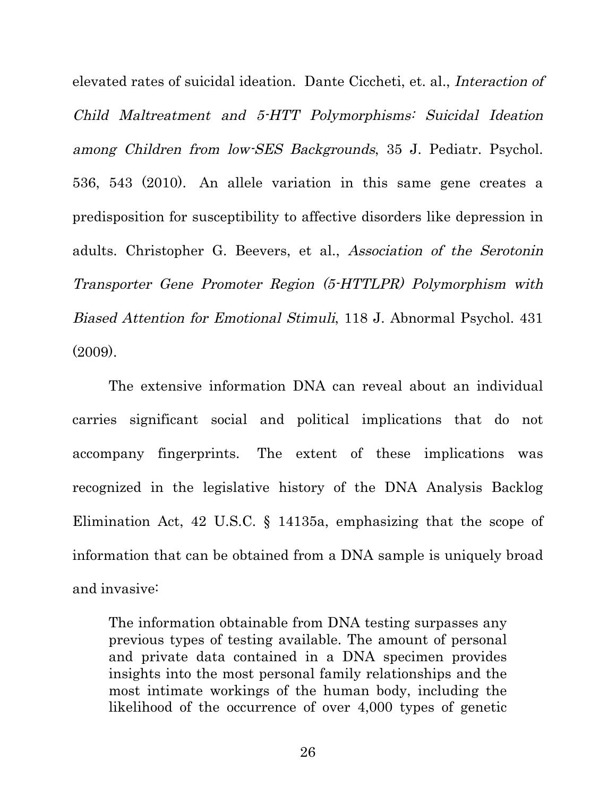elevated rates of suicidal ideation. Dante Ciccheti, et. al., Interaction of Child Maltreatment and 5-HTT Polymorphisms: Suicidal Ideation among Children from low-SES Backgrounds, 35 J. Pediatr. Psychol. 536, 543 (2010). An allele variation in this same gene creates a predisposition for susceptibility to affective disorders like depression in adults. Christopher G. Beevers, et al., Association of the Serotonin Transporter Gene Promoter Region (5-HTTLPR) Polymorphism with Biased Attention for Emotional Stimuli, 118 J. Abnormal Psychol. 431  $(2009)$ .

The extensive information DNA can reveal about an individual carries significant social and political implications that do not accompany fingerprints. The extent of these implications was recognized in the legislative history of the DNA Analysis Backlog Elimination Act, 42 U.S.C. § 14135a, emphasizing that the scope of information that can be obtained from a DNA sample is uniquely broad and invasive:

The information obtainable from DNA testing surpasses any previous types of testing available. The amount of personal and private data contained in a DNA specimen provides insights into the most personal family relationships and the most intimate workings of the human body, including the likelihood of the occurrence of over 4,000 types of genetic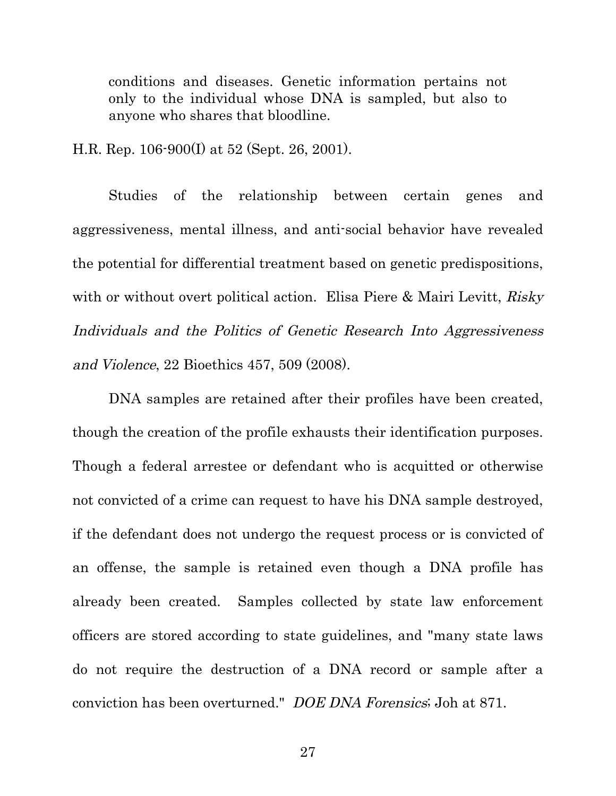conditions and diseases. Genetic information pertains not only to the individual whose DNA is sampled, but also to anyone who shares that bloodline.

H.R. Rep. 106-900(I) at 52 (Sept. 26, 2001).

Studies of the relationship between certain genes and aggressiveness, mental illness, and anti-social behavior have revealed the potential for differential treatment based on genetic predispositions, with or without overt political action. Elisa Piere & Mairi Levitt, Risky Individuals and the Politics of Genetic Research Into Aggressiveness and Violence, 22 Bioethics 457, 509 (2008).

DNA samples are retained after their profiles have been created, though the creation of the profile exhausts their identification purposes. Though a federal arrestee or defendant who is acquitted or otherwise not convicted of a crime can request to have his DNA sample destroyed, if the defendant does not undergo the request process or is convicted of an offense, the sample is retained even though a DNA profile has already been created. Samples collected by state law enforcement officers are stored according to state guidelines, and "many state laws do not require the destruction of a DNA record or sample after a conviction has been overturned." DOE DNA Forensics; Joh at 871.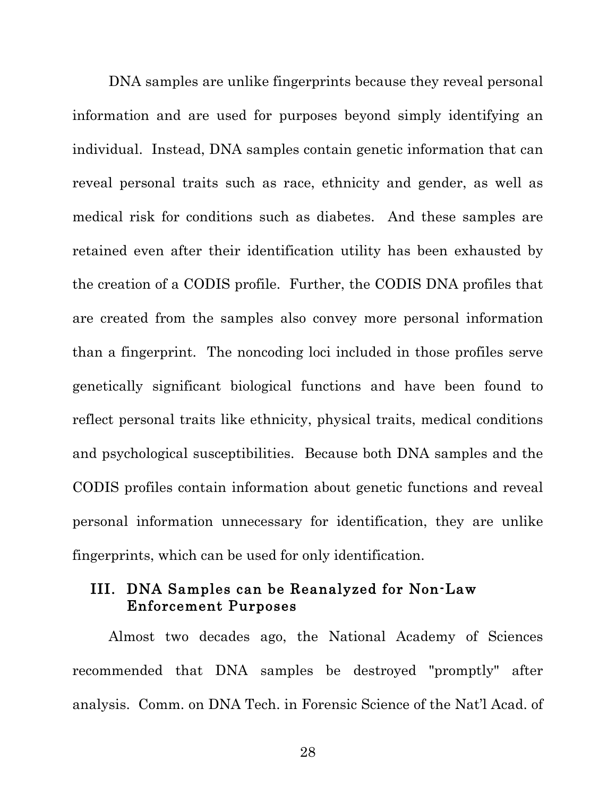DNA samples are unlike fingerprints because they reveal personal information and are used for purposes beyond simply identifying an individual. Instead, DNA samples contain genetic information that can reveal personal traits such as race, ethnicity and gender, as well as medical risk for conditions such as diabetes. And these samples are retained even after their identification utility has been exhausted by the creation of a CODIS profile. Further, the CODIS DNA profiles that are created from the samples also convey more personal information than a fingerprint. The noncoding loci included in those profiles serve genetically significant biological functions and have been found to reflect personal traits like ethnicity, physical traits, medical conditions and psychological susceptibilities. Because both DNA samples and the CODIS profiles contain information about genetic functions and reveal personal information unnecessary for identification, they are unlike fingerprints, which can be used for only identification.

#### III. DNA Samples can be Reanalyzed for Non-Law Enforcement Purposes

Almost two decades ago, the National Academy of Sciences recommended that DNA samples be destroyed "promptly" after analysis. Comm. on DNA Tech. in Forensic Science of the Nat'l Acad. of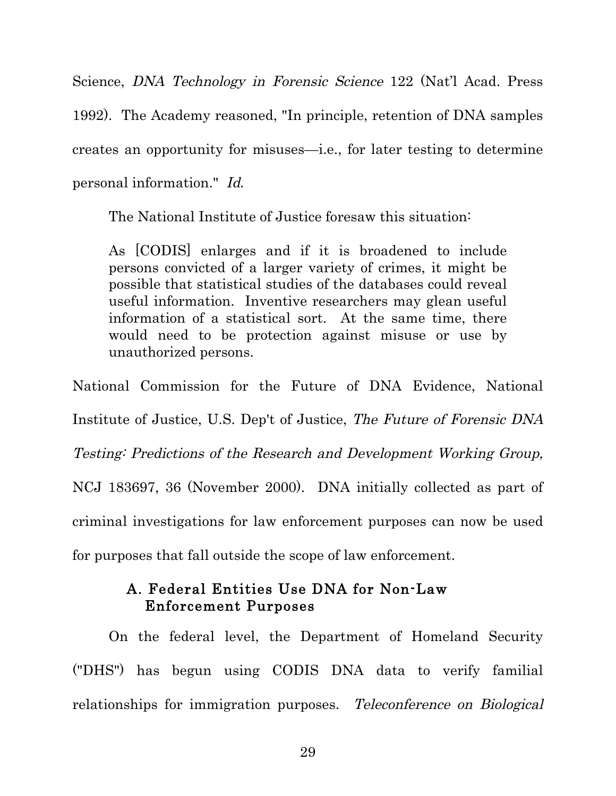Science, DNA Technology in Forensic Science 122 (Nat'l Acad. Press 1992). The Academy reasoned, "In principle, retention of DNA samples creates an opportunity for misuses—i.e., for later testing to determine personal information." Id.

The National Institute of Justice foresaw this situation:

As [CODIS] enlarges and if it is broadened to include persons convicted of a larger variety of crimes, it might be possible that statistical studies of the databases could reveal useful information. Inventive researchers may glean useful information of a statistical sort. At the same time, there would need to be protection against misuse or use by unauthorized persons.

National Commission for the Future of DNA Evidence, National Institute of Justice, U.S. Dep't of Justice, The Future of Forensic DNA Testing: Predictions of the Research and Development Working Group, NCJ 183697, 36 (November 2000). DNA initially collected as part of criminal investigations for law enforcement purposes can now be used for purposes that fall outside the scope of law enforcement.

## A. Federal Entities Use DNA for Non-Law Enforcement Purposes

On the federal level, the Department of Homeland Security ("DHS") has begun using CODIS DNA data to verify familial relationships for immigration purposes. Teleconference on Biological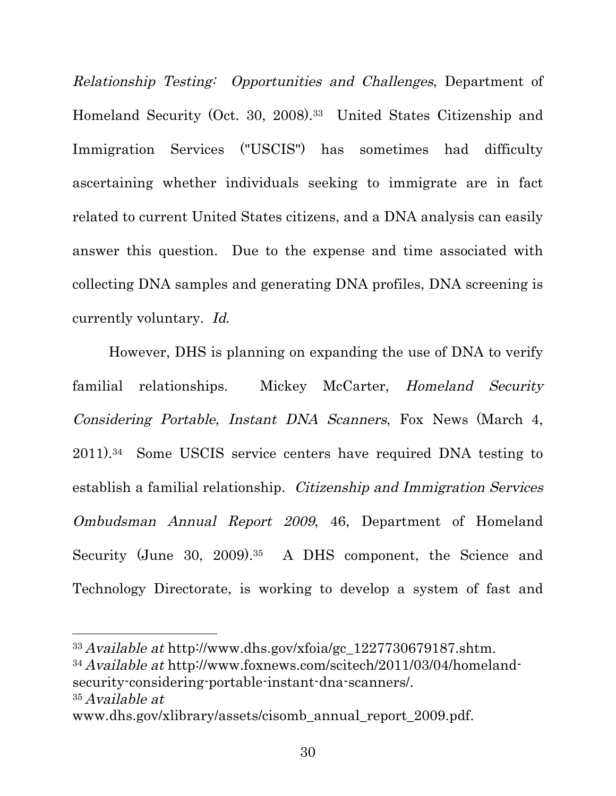Relationship Testing: Opportunities and Challenges, Department of Homeland Security (Oct. 30, 2008).33 United States Citizenship and Immigration Services ("USCIS") has sometimes had difficulty ascertaining whether individuals seeking to immigrate are in fact related to current United States citizens, and a DNA analysis can easily answer this question. Due to the expense and time associated with collecting DNA samples and generating DNA profiles, DNA screening is currently voluntary. Id.

However, DHS is planning on expanding the use of DNA to verify familial relationships. Mickey McCarter, Homeland Security Considering Portable, Instant DNA Scanners, Fox News (March 4, 2011).34 Some USCIS service centers have required DNA testing to establish a familial relationship. Citizenship and Immigration Services Ombudsman Annual Report 2009, 46, Department of Homeland Security (June 30, 2009).<sup>35</sup> A DHS component, the Science and Technology Directorate, is working to develop a system of fast and

<u> 1989 - Johann Stein, fransk politiker (d. 1989)</u>

<sup>34</sup> Available at http://www.foxnews.com/scitech/2011/03/04/homelandsecurity-considering-portable-instant-dna-scanners/. 35 Available at

 $33$  Available at http://www.dhs.gov/xfoia/gc\_1227730679187.shtm.

www.dhs.gov/xlibrary/assets/cisomb\_annual\_report\_2009.pdf.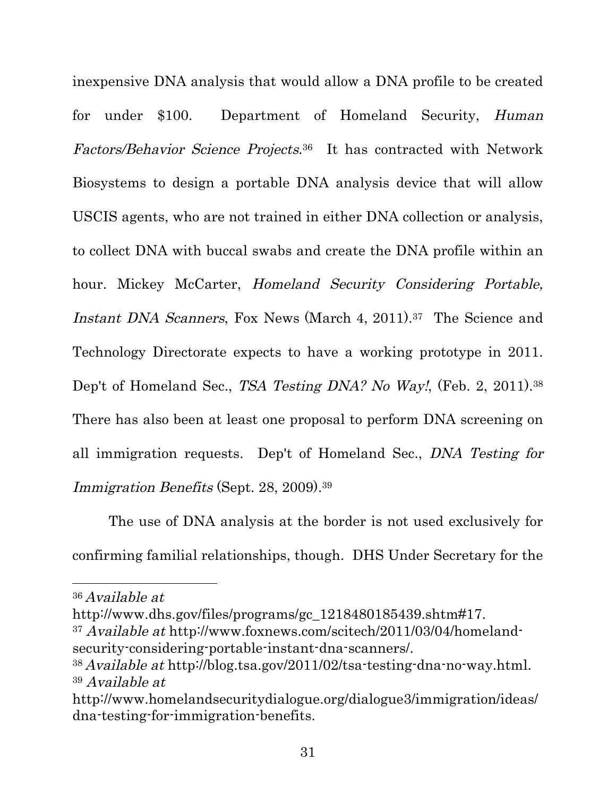inexpensive DNA analysis that would allow a DNA profile to be created for under \$100. Department of Homeland Security, Human Factors/Behavior Science Projects.36 It has contracted with Network Biosystems to design a portable DNA analysis device that will allow USCIS agents, who are not trained in either DNA collection or analysis, to collect DNA with buccal swabs and create the DNA profile within an hour. Mickey McCarter, Homeland Security Considering Portable, Instant DNA Scanners, Fox News (March 4, 2011).<sup>37</sup> The Science and Technology Directorate expects to have a working prototype in 2011. Dep't of Homeland Sec., TSA Testing DNA? No Way!, (Feb. 2, 2011).<sup>38</sup> There has also been at least one proposal to perform DNA screening on all immigration requests. Dep't of Homeland Sec., DNA Testing for Immigration Benefits (Sept. 28, 2009).39

The use of DNA analysis at the border is not used exclusively for confirming familial relationships, though. DHS Under Secretary for the

http://www.dhs.gov/files/programs/gc\_1218480185439.shtm#17.

<sup>37</sup> Available at http://www.foxnews.com/scitech/2011/03/04/homelandsecurity-considering-portable-instant-dna-scanners/.

<sup>36</sup> Available at

<sup>38</sup> Available at http://blog.tsa.gov/2011/02/tsa-testing-dna-no-way.html. 39 Available at

http://www.homelandsecuritydialogue.org/dialogue3/immigration/ideas/ dna-testing-for-immigration-benefits.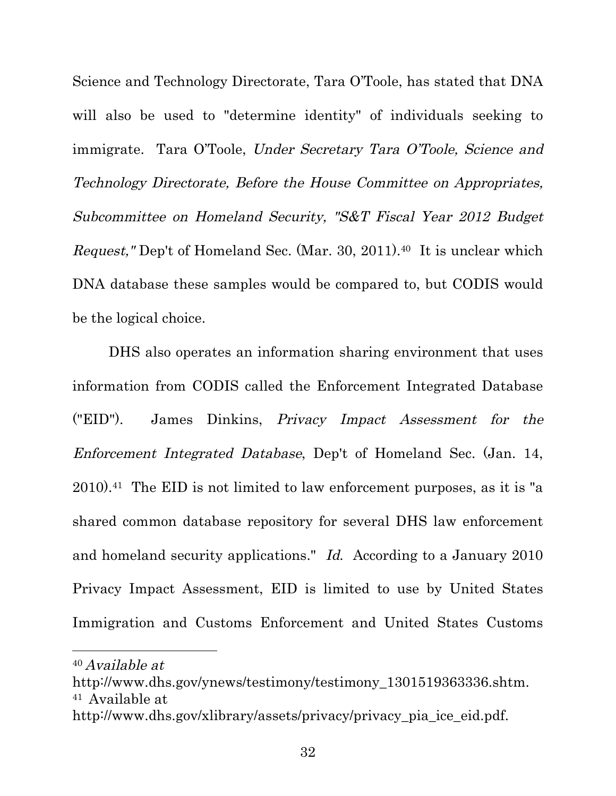Science and Technology Directorate, Tara O'Toole, has stated that DNA will also be used to "determine identity" of individuals seeking to immigrate. Tara O'Toole, Under Secretary Tara O'Toole, Science and Technology Directorate, Before the House Committee on Appropriates, Subcommittee on Homeland Security, "S&T Fiscal Year 2012 Budget Request," Dep't of Homeland Sec. (Mar. 30, 2011).40 It is unclear which DNA database these samples would be compared to, but CODIS would be the logical choice.

DHS also operates an information sharing environment that uses information from CODIS called the Enforcement Integrated Database ("EID"). James Dinkins, Privacy Impact Assessment for the Enforcement Integrated Database, Dep't of Homeland Sec. (Jan. 14, 2010).41 The EID is not limited to law enforcement purposes, as it is "a shared common database repository for several DHS law enforcement and homeland security applications." Id. According to a January 2010 Privacy Impact Assessment, EID is limited to use by United States Immigration and Customs Enforcement and United States Customs

<u> 1989 - Johann Stein, fransk politiker (d. 1989)</u>

<sup>40</sup> Available at

http://www.dhs.gov/ynews/testimony/testimony\_1301519363336.shtm. 41 Available at

http://www.dhs.gov/xlibrary/assets/privacy/privacy\_pia\_ice\_eid.pdf.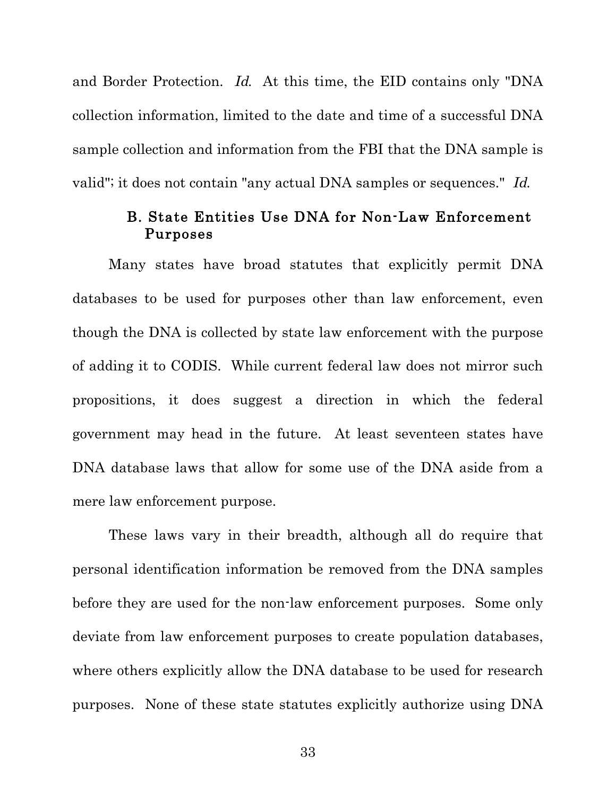and Border Protection. Id. At this time, the EID contains only "DNA collection information, limited to the date and time of a successful DNA sample collection and information from the FBI that the DNA sample is valid"; it does not contain "any actual DNA samples or sequences." Id.

#### B. State Entities Use DNA for Non-Law Enforcement Purposes

Many states have broad statutes that explicitly permit DNA databases to be used for purposes other than law enforcement, even though the DNA is collected by state law enforcement with the purpose of adding it to CODIS. While current federal law does not mirror such propositions, it does suggest a direction in which the federal government may head in the future. At least seventeen states have DNA database laws that allow for some use of the DNA aside from a mere law enforcement purpose.

These laws vary in their breadth, although all do require that personal identification information be removed from the DNA samples before they are used for the non-law enforcement purposes. Some only deviate from law enforcement purposes to create population databases, where others explicitly allow the DNA database to be used for research purposes. None of these state statutes explicitly authorize using DNA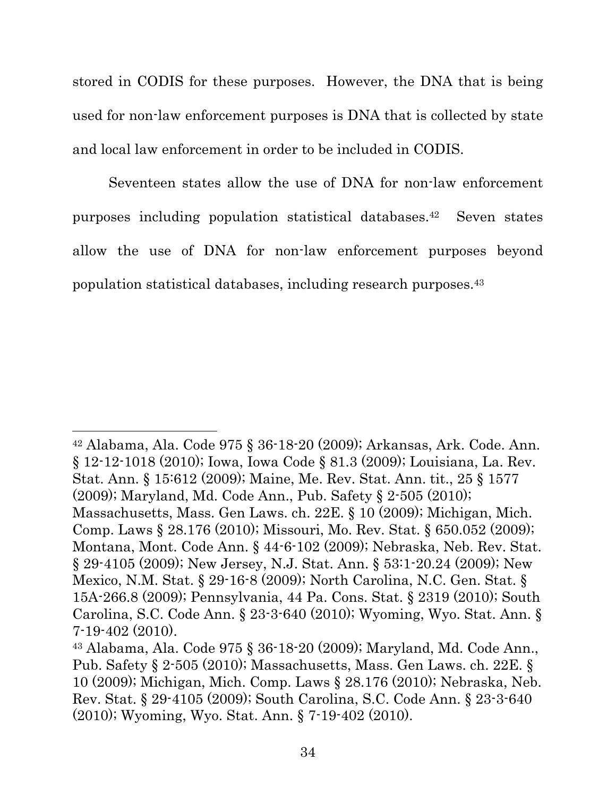stored in CODIS for these purposes. However, the DNA that is being used for non-law enforcement purposes is DNA that is collected by state and local law enforcement in order to be included in CODIS.

Seventeen states allow the use of DNA for non-law enforcement purposes including population statistical databases.42 Seven states allow the use of DNA for non-law enforcement purposes beyond population statistical databases, including research purposes.43

 <sup>42</sup> Alabama, Ala. Code 975 § 36-18-20 (2009); Arkansas, Ark. Code. Ann. § 12-12-1018 (2010); Iowa, Iowa Code § 81.3 (2009); Louisiana, La. Rev. Stat. Ann. § 15:612 (2009); Maine, Me. Rev. Stat. Ann. tit., 25 § 1577 (2009); Maryland, Md. Code Ann., Pub. Safety § 2-505 (2010); Massachusetts, Mass. Gen Laws. ch. 22E. § 10 (2009); Michigan, Mich. Comp. Laws § 28.176 (2010); Missouri, Mo. Rev. Stat. § 650.052 (2009); Montana, Mont. Code Ann. § 44-6-102 (2009); Nebraska, Neb. Rev. Stat. § 29-4105 (2009); New Jersey, N.J. Stat. Ann. § 53:1-20.24 (2009); New Mexico, N.M. Stat. § 29-16-8 (2009); North Carolina, N.C. Gen. Stat. § 15A-266.8 (2009); Pennsylvania, 44 Pa. Cons. Stat. § 2319 (2010); South Carolina, S.C. Code Ann. § 23-3-640 (2010); Wyoming, Wyo. Stat. Ann. § 7-19-402 (2010).

<sup>43</sup> Alabama, Ala. Code 975 § 36-18-20 (2009); Maryland, Md. Code Ann., Pub. Safety § 2-505 (2010); Massachusetts, Mass. Gen Laws. ch. 22E. § 10 (2009); Michigan, Mich. Comp. Laws § 28.176 (2010); Nebraska, Neb. Rev. Stat. § 29-4105 (2009); South Carolina, S.C. Code Ann. § 23-3-640 (2010); Wyoming, Wyo. Stat. Ann. § 7-19-402 (2010).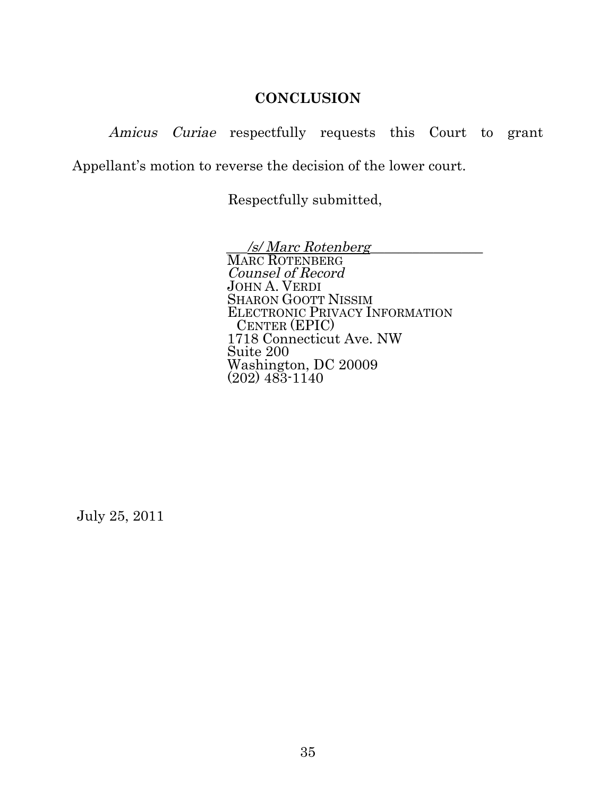#### **CONCLUSION**

Amicus Curiae respectfully requests this Court to grant Appellant's motion to reverse the decision of the lower court.

Respectfully submitted,

\_\_\_/s/ Marc Rotenberg\_\_\_\_\_\_\_\_\_\_\_\_\_\_\_\_ MARC ROTENBERG Counsel of Record JOHN A. VERDI SHARON GOOTT NISSIM ELECTRONIC PRIVACY INFORMATION CENTER (EPIC) 1718 Connecticut Ave. NW Suite 200 Washington, DC 20009 (202) 483-1140

July 25, 2011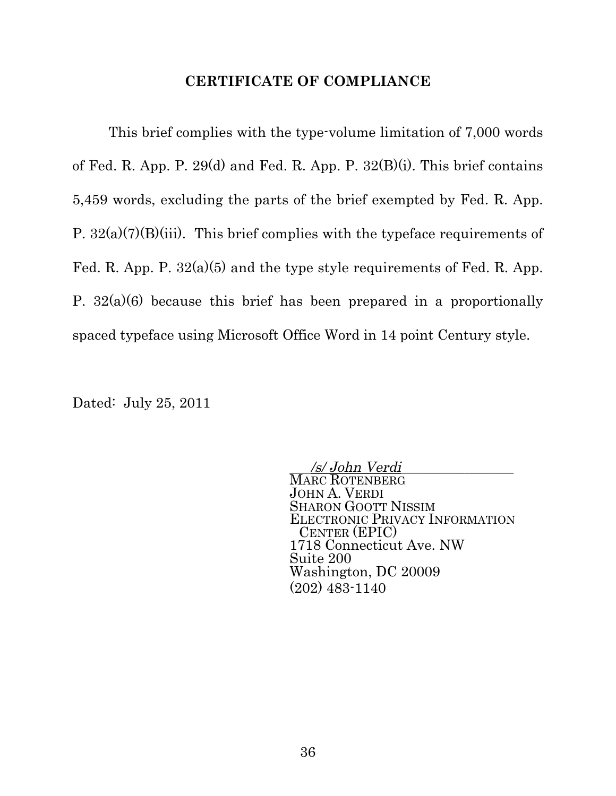#### **CERTIFICATE OF COMPLIANCE**

 This brief complies with the type-volume limitation of 7,000 words of Fed. R. App. P. 29(d) and Fed. R. App. P.  $32(B)(i)$ . This brief contains 5,459 words, excluding the parts of the brief exempted by Fed. R. App. P.  $32(a)(7)(B)(iii)$ . This brief complies with the typeface requirements of Fed. R. App. P.  $32(a)(5)$  and the type style requirements of Fed. R. App. P.  $32(a)(6)$  because this brief has been prepared in a proportionally spaced typeface using Microsoft Office Word in 14 point Century style.

Dated: July 25, 2011

\_\_\_/s/ John Verdi\_\_\_\_\_\_\_\_\_\_\_\_\_\_\_\_ MARC ROTENBERG JOHN A. VERDI SHARON GOOTT NISSIM ELECTRONIC PRIVACY INFORMATION CENTER (EPIC) 1718 Connecticut Ave. NW Suite 200 Washington, DC 20009 (202) 483-1140